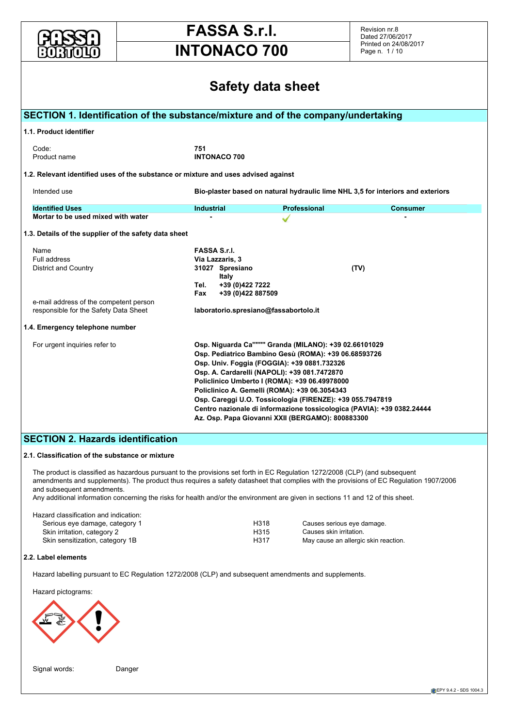

Revision nr.8 Dated 27/06/2017 Printed on 24/08/2017 Page n. 1 / 10

| <b>Safety data sheet</b>                                                           |                                  |                                                                                                                            |                 |  |  |  |  |  |  |  |  |
|------------------------------------------------------------------------------------|----------------------------------|----------------------------------------------------------------------------------------------------------------------------|-----------------|--|--|--|--|--|--|--|--|
| SECTION 1. Identification of the substance/mixture and of the company/undertaking  |                                  |                                                                                                                            |                 |  |  |  |  |  |  |  |  |
| 1.1. Product identifier                                                            |                                  |                                                                                                                            |                 |  |  |  |  |  |  |  |  |
| Code:<br>Product name                                                              | 751<br><b>INTONACO 700</b>       |                                                                                                                            |                 |  |  |  |  |  |  |  |  |
| 1.2. Relevant identified uses of the substance or mixture and uses advised against |                                  |                                                                                                                            |                 |  |  |  |  |  |  |  |  |
| Intended use                                                                       |                                  | Bio-plaster based on natural hydraulic lime NHL 3,5 for interiors and exteriors                                            |                 |  |  |  |  |  |  |  |  |
| <b>Identified Uses</b>                                                             | <b>Industrial</b>                | <b>Professional</b>                                                                                                        | <b>Consumer</b> |  |  |  |  |  |  |  |  |
| Mortar to be used mixed with water                                                 |                                  |                                                                                                                            |                 |  |  |  |  |  |  |  |  |
| 1.3. Details of the supplier of the safety data sheet                              |                                  |                                                                                                                            |                 |  |  |  |  |  |  |  |  |
| Name                                                                               | <b>FASSA S.r.I.</b>              |                                                                                                                            |                 |  |  |  |  |  |  |  |  |
| Full address                                                                       | Via Lazzaris, 3                  |                                                                                                                            |                 |  |  |  |  |  |  |  |  |
| <b>District and Country</b>                                                        | 31027 Spresiano                  |                                                                                                                            | (TV)            |  |  |  |  |  |  |  |  |
|                                                                                    | Italy<br>+39 (0)422 7222<br>Tel. |                                                                                                                            |                 |  |  |  |  |  |  |  |  |
|                                                                                    | +39 (0)422 887509<br>Fax         |                                                                                                                            |                 |  |  |  |  |  |  |  |  |
| e-mail address of the competent person                                             |                                  |                                                                                                                            |                 |  |  |  |  |  |  |  |  |
| responsible for the Safety Data Sheet                                              |                                  | laboratorio.spresiano@fassabortolo.it                                                                                      |                 |  |  |  |  |  |  |  |  |
| 1.4. Emergency telephone number                                                    |                                  |                                                                                                                            |                 |  |  |  |  |  |  |  |  |
| For urgent inquiries refer to                                                      |                                  | Osp. Niguarda Ca"""" Granda (MILANO): +39 02.66101029                                                                      |                 |  |  |  |  |  |  |  |  |
|                                                                                    |                                  | Osp. Pediatrico Bambino Gesù (ROMA): +39 06.68593726                                                                       |                 |  |  |  |  |  |  |  |  |
|                                                                                    |                                  | Osp. Univ. Foggia (FOGGIA): +39 0881.732326                                                                                |                 |  |  |  |  |  |  |  |  |
|                                                                                    |                                  | Osp. A. Cardarelli (NAPOLI): +39 081.7472870                                                                               |                 |  |  |  |  |  |  |  |  |
|                                                                                    |                                  | Policlinico Umberto I (ROMA): +39 06.49978000                                                                              |                 |  |  |  |  |  |  |  |  |
|                                                                                    |                                  | Policlinico A. Gemelli (ROMA): +39 06.3054343                                                                              |                 |  |  |  |  |  |  |  |  |
|                                                                                    |                                  | Osp. Careggi U.O. Tossicologia (FIRENZE): +39 055.7947819                                                                  |                 |  |  |  |  |  |  |  |  |
|                                                                                    |                                  | Centro nazionale di informazione tossicologica (PAVIA): +39 0382.24444<br>Az. Osp. Papa Giovanni XXII (BERGAMO): 800883300 |                 |  |  |  |  |  |  |  |  |
|                                                                                    |                                  |                                                                                                                            |                 |  |  |  |  |  |  |  |  |

#### **2.1. Classification of the substance or mixture**

The product is classified as hazardous pursuant to the provisions set forth in EC Regulation 1272/2008 (CLP) (and subsequent amendments and supplements). The product thus requires a safety datasheet that complies with the provisions of EC Regulation 1907/2006 and subsequent amendments.

Any additional information concerning the risks for health and/or the environment are given in sections 11 and 12 of this sheet.

| Hazard classification and indication: |      |                                      |
|---------------------------------------|------|--------------------------------------|
| Serious eye damage, category 1        | H318 | Causes serious eye damage.           |
| Skin irritation, category 2           | H315 | Causes skin irritation.              |
| Skin sensitization, category 1B       | H317 | May cause an allergic skin reaction. |

#### **2.2. Label elements**

Hazard labelling pursuant to EC Regulation 1272/2008 (CLP) and subsequent amendments and supplements.



Signal words: Danger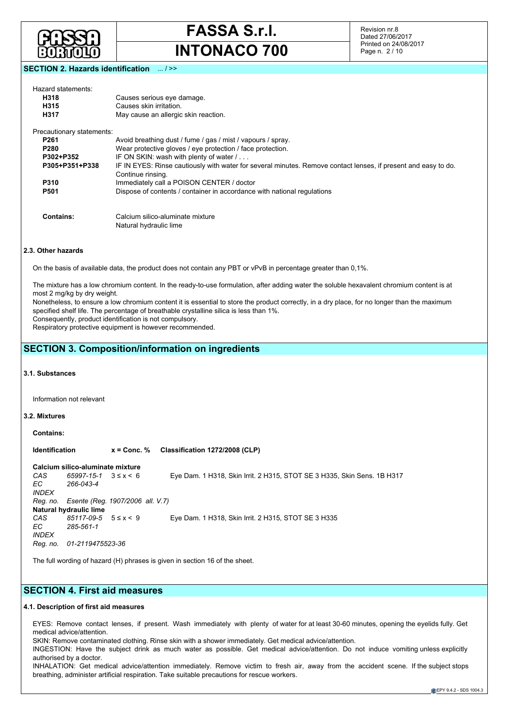

Revision nr.8 Dated 27/06/2017 Printed on 24/08/2017 Page n. 2 / 10

### **SECTION 2. Hazards identification** ... / >>

| Hazard statements:        |                                                                                                                                     |
|---------------------------|-------------------------------------------------------------------------------------------------------------------------------------|
| H318                      | Causes serious eye damage.                                                                                                          |
| H315                      | Causes skin irritation.                                                                                                             |
| H317                      | May cause an allergic skin reaction.                                                                                                |
| Precautionary statements: |                                                                                                                                     |
| P <sub>261</sub>          | Avoid breathing dust / fume / gas / mist / vapours / spray.                                                                         |
| P <sub>280</sub>          | Wear protective gloves / eye protection / face protection.                                                                          |
| P302+P352                 | IF ON SKIN: wash with plenty of water /                                                                                             |
| P305+P351+P338            | IF IN EYES: Rinse cautiously with water for several minutes. Remove contact lenses, if present and easy to do.<br>Continue rinsing. |
| P310                      | Immediately call a POISON CENTER / doctor                                                                                           |
| <b>P501</b>               | Dispose of contents / container in accordance with national regulations                                                             |
| <b>Contains:</b>          | Calcium silico-aluminate mixture                                                                                                    |
|                           | Natural hydraulic lime                                                                                                              |

#### **2.3. Other hazards**

On the basis of available data, the product does not contain any PBT or vPvB in percentage greater than 0,1%.

The mixture has a low chromium content. In the ready-to-use formulation, after adding water the soluble hexavalent chromium content is at most 2 mg/kg by dry weight. Nonetheless, to ensure a low chromium content it is essential to store the product correctly, in a dry place, for no longer than the maximum

specified shelf life. The percentage of breathable crystalline silica is less than 1%.

Consequently, product identification is not compulsory.

Respiratory protective equipment is however recommended.

## **SECTION 3. Composition/information on ingredients**

#### **3.1. Substances**

Information not relevant

#### **3.2. Mixtures**

**Contains:**

**Identification x = Conc. % Classification 1272/2008 (CLP)**

#### **Calcium silico-aluminate mixture**

*CAS 65997-15-1* 3 ≤ x < 6 Eye Dam. 1 H318, Skin Irrit. 2 H315, STOT SE 3 H335, Skin Sens. 1B H317 *EC 266-043-4 INDEX Reg. no. Esente (Reg. 1907/2006 all. V.7)* **Natural hydraulic lime** *CAS 85117-09-5* 5 ≤ x < 9 Eye Dam. 1 H318, Skin Irrit. 2 H315, STOT SE 3 H335 *EC 285-561-1 INDEX Reg. no. 01-2119475523-36*

The full wording of hazard (H) phrases is given in section 16 of the sheet.

## **SECTION 4. First aid measures**

#### **4.1. Description of first aid measures**

EYES: Remove contact lenses, if present. Wash immediately with plenty of water for at least 30-60 minutes, opening the eyelids fully. Get medical advice/attention.

SKIN: Remove contaminated clothing. Rinse skin with a shower immediately. Get medical advice/attention.

INGESTION: Have the subject drink as much water as possible. Get medical advice/attention. Do not induce vomiting unless explicitly authorised by a doctor.

INHALATION: Get medical advice/attention immediately. Remove victim to fresh air, away from the accident scene. If the subject stops breathing, administer artificial respiration. Take suitable precautions for rescue workers.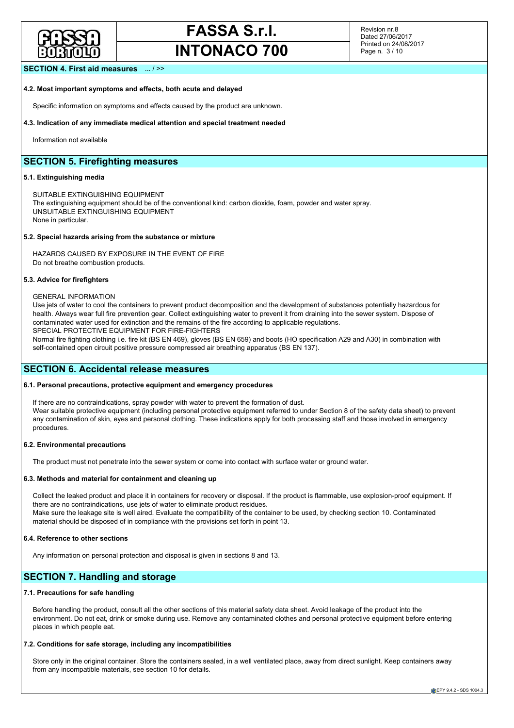

# **FASSA S.r.l.**

**INTONACO 700**

Revision nr.8 Dated 27/06/2017 Printed on 24/08/2017 Page n. 3 / 10

### **SECTION 4. First aid measures** ... / >>

#### **4.2. Most important symptoms and effects, both acute and delayed**

Specific information on symptoms and effects caused by the product are unknown.

#### **4.3. Indication of any immediate medical attention and special treatment needed**

Information not available

## **SECTION 5. Firefighting measures**

### **5.1. Extinguishing media**

SUITABLE EXTINGUISHING EQUIPMENT The extinguishing equipment should be of the conventional kind: carbon dioxide, foam, powder and water spray. UNSUITABLE EXTINGUISHING EQUIPMENT None in particular.

#### **5.2. Special hazards arising from the substance or mixture**

HAZARDS CAUSED BY EXPOSURE IN THE EVENT OF FIRE Do not breathe combustion products.

#### **5.3. Advice for firefighters**

GENERAL INFORMATION

Use jets of water to cool the containers to prevent product decomposition and the development of substances potentially hazardous for health. Always wear full fire prevention gear. Collect extinguishing water to prevent it from draining into the sewer system. Dispose of contaminated water used for extinction and the remains of the fire according to applicable regulations. SPECIAL PROTECTIVE EQUIPMENT FOR FIRE-FIGHTERS

Normal fire fighting clothing i.e. fire kit (BS EN 469), gloves (BS EN 659) and boots (HO specification A29 and A30) in combination with self-contained open circuit positive pressure compressed air breathing apparatus (BS EN 137).

### **SECTION 6. Accidental release measures**

#### **6.1. Personal precautions, protective equipment and emergency procedures**

If there are no contraindications, spray powder with water to prevent the formation of dust. Wear suitable protective equipment (including personal protective equipment referred to under Section 8 of the safety data sheet) to prevent any contamination of skin, eyes and personal clothing. These indications apply for both processing staff and those involved in emergency procedures.

#### **6.2. Environmental precautions**

The product must not penetrate into the sewer system or come into contact with surface water or ground water.

#### **6.3. Methods and material for containment and cleaning up**

Collect the leaked product and place it in containers for recovery or disposal. If the product is flammable, use explosion-proof equipment. If there are no contraindications, use jets of water to eliminate product residues. Make sure the leakage site is well aired. Evaluate the compatibility of the container to be used, by checking section 10. Contaminated material should be disposed of in compliance with the provisions set forth in point 13.

#### **6.4. Reference to other sections**

Any information on personal protection and disposal is given in sections 8 and 13.

## **SECTION 7. Handling and storage**

### **7.1. Precautions for safe handling**

Before handling the product, consult all the other sections of this material safety data sheet. Avoid leakage of the product into the environment. Do not eat, drink or smoke during use. Remove any contaminated clothes and personal protective equipment before entering places in which people eat.

#### **7.2. Conditions for safe storage, including any incompatibilities**

Store only in the original container. Store the containers sealed, in a well ventilated place, away from direct sunlight. Keep containers away from any incompatible materials, see section 10 for details.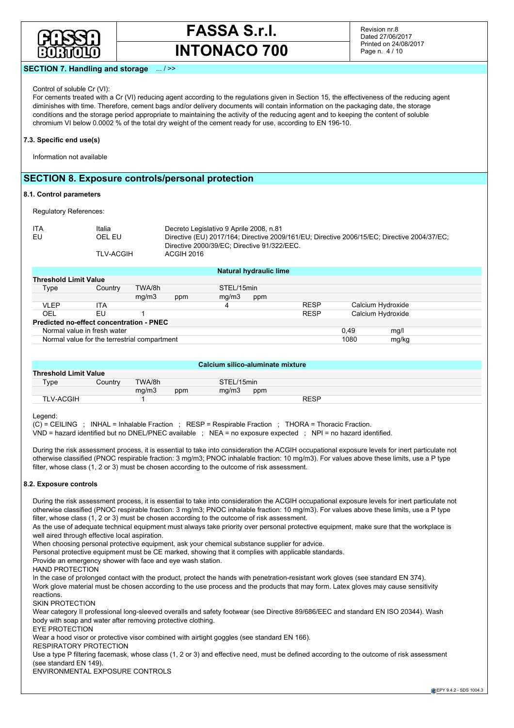

Revision nr.8 Dated 27/06/2017 Printed on 24/08/2017 Page n. 4 / 10

#### **SECTION 7. Handling and storage** ... / >>

#### Control of soluble Cr (VI):

For cements treated with a Cr (VI) reducing agent according to the regulations given in Section 15, the effectiveness of the reducing agent diminishes with time. Therefore, cement bags and/or delivery documents will contain information on the packaging date, the storage conditions and the storage period appropriate to maintaining the activity of the reducing agent and to keeping the content of soluble chromium VI below 0.0002 % of the total dry weight of the cement ready for use, according to EN 196-10.

#### **7.3. Specific end use(s)**

Information not available

## **SECTION 8. Exposure controls/personal protection**

#### **8.1. Control parameters**

Regulatory References:

| ITA | Italia           | Decreto Legislativo 9 Aprile 2008, n.81                                                     |
|-----|------------------|---------------------------------------------------------------------------------------------|
|     |                  |                                                                                             |
| EU  | OEL EU           | Directive (EU) 2017/164; Directive 2009/161/EU; Directive 2006/15/EC; Directive 2004/37/EC; |
|     |                  | Directive 2000/39/EC; Directive 91/322/EEC.                                                 |
|     | <b>TLV-ACGIH</b> | ACGIH 2016                                                                                  |
|     |                  |                                                                                             |

|                                                 |                                              |        |     |            | Natural hydraulic lime |             |      |                   |  |  |  |  |
|-------------------------------------------------|----------------------------------------------|--------|-----|------------|------------------------|-------------|------|-------------------|--|--|--|--|
| <b>Threshold Limit Value</b>                    |                                              |        |     |            |                        |             |      |                   |  |  |  |  |
| Type                                            | Country                                      | TWA/8h |     | STEL/15min |                        |             |      |                   |  |  |  |  |
|                                                 |                                              | mq/m3  | ppm | mq/m3      | ppm                    |             |      |                   |  |  |  |  |
| <b>VLEP</b>                                     | ITA                                          |        |     | 4          |                        | <b>RESP</b> |      | Calcium Hydroxide |  |  |  |  |
| OEL                                             | EU                                           |        |     |            |                        | <b>RESP</b> |      | Calcium Hydroxide |  |  |  |  |
| <b>Predicted no-effect concentration - PNEC</b> |                                              |        |     |            |                        |             |      |                   |  |  |  |  |
|                                                 | Normal value in fresh water                  |        |     |            |                        |             | 0.49 | mg/l              |  |  |  |  |
|                                                 | Normal value for the terrestrial compartment |        |     |            |                        |             | 1080 | mg/kg             |  |  |  |  |

|                              | Calcium silico-aluminate mixture |        |     |  |            |     |             |  |  |  |  |  |
|------------------------------|----------------------------------|--------|-----|--|------------|-----|-------------|--|--|--|--|--|
| <b>Threshold Limit Value</b> |                                  |        |     |  |            |     |             |  |  |  |  |  |
| Type                         | Country                          | TWA/8h |     |  | STEL/15min |     |             |  |  |  |  |  |
|                              |                                  | mq/m3  | ppm |  | ma/m3      | ppm |             |  |  |  |  |  |
| <b>TLV-ACGIH</b>             |                                  |        |     |  |            |     | <b>RESP</b> |  |  |  |  |  |

#### Legend:

(C) = CEILING ; INHAL = Inhalable Fraction ; RESP = Respirable Fraction ; THORA = Thoracic Fraction. VND = hazard identified but no DNEL/PNEC available ; NEA = no exposure expected ; NPI = no hazard identified.

During the risk assessment process, it is essential to take into consideration the ACGIH occupational exposure levels for inert particulate not otherwise classified (PNOC respirable fraction: 3 mg/m3; PNOC inhalable fraction: 10 mg/m3). For values above these limits, use a P type filter, whose class (1, 2 or 3) must be chosen according to the outcome of risk assessment.

#### **8.2. Exposure controls**

During the risk assessment process, it is essential to take into consideration the ACGIH occupational exposure levels for inert particulate not otherwise classified (PNOC respirable fraction: 3 mg/m3; PNOC inhalable fraction: 10 mg/m3). For values above these limits, use a P type filter, whose class (1, 2 or 3) must be chosen according to the outcome of risk assessment.

As the use of adequate technical equipment must always take priority over personal protective equipment, make sure that the workplace is well aired through effective local aspiration.

When choosing personal protective equipment, ask your chemical substance supplier for advice.

Personal protective equipment must be CE marked, showing that it complies with applicable standards.

Provide an emergency shower with face and eye wash station.

HAND PROTECTION

In the case of prolonged contact with the product, protect the hands with penetration-resistant work gloves (see standard EN 374). Work glove material must be chosen according to the use process and the products that may form. Latex gloves may cause sensitivity

reactions.

SKIN PROTECTION

Wear category II professional long-sleeved overalls and safety footwear (see Directive 89/686/EEC and standard EN ISO 20344). Wash body with soap and water after removing protective clothing.

EYE PROTECTION

Wear a hood visor or protective visor combined with airtight goggles (see standard EN 166).

RESPIRATORY PROTECTION

Use a type P filtering facemask, whose class (1, 2 or 3) and effective need, must be defined according to the outcome of risk assessment (see standard EN 149).

ENVIRONMENTAL EXPOSURE CONTROLS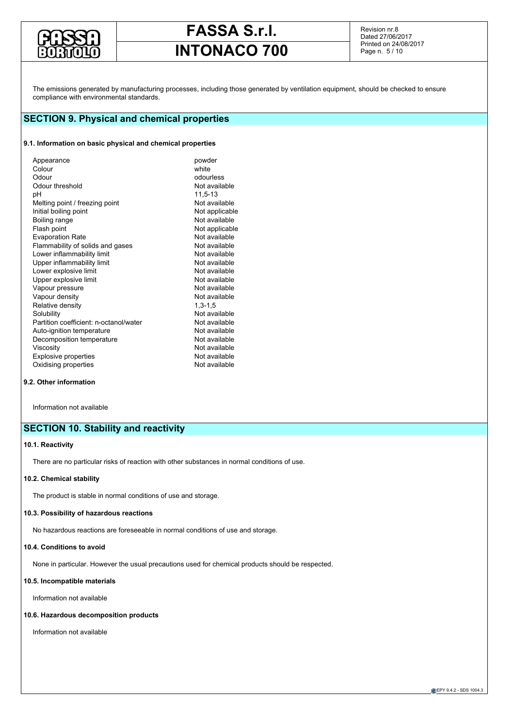

Revision nr.8 Dated 27/06/2017 Printed on 24/08/2017 Page n. 5 / 10

The emissions generated by manufacturing processes, including those generated by ventilation equipment, should be checked to ensure compliance with environmental standards.

## **SECTION 9. Physical and chemical properties**

#### **9.1. Information on basic physical and chemical properties**

|  | Appearance<br>Colour<br>Odour<br>Odour threshold<br>рH<br>Melting point / freezing point<br>Initial boiling point<br>Boiling range<br>Flash point<br><b>Evaporation Rate</b><br>Flammability of solids and gases<br>Lower inflammability limit<br>Upper inflammability limit<br>Lower explosive limit<br>Upper explosive limit<br>Vapour pressure<br>Vapour density<br>Relative density<br>Solubility<br>Partition coefficient: n-octanol/water<br>Auto-ignition temperature<br>Decomposition temperature<br>Viscosity<br><b>Explosive properties</b><br>Oxidising properties | powder<br>white<br>odourless<br>Not available<br>11,5-13<br>Not available<br>Not applicable<br>Not available<br>Not applicable<br>Not available<br>Not available<br>Not available<br>Not available<br>Not available<br>Not available<br>Not available<br>Not available<br>$1,3-1,5$<br>Not available<br>Not available<br>Not available<br>Not available<br>Not available<br>Not available<br>Not available |
|--|-------------------------------------------------------------------------------------------------------------------------------------------------------------------------------------------------------------------------------------------------------------------------------------------------------------------------------------------------------------------------------------------------------------------------------------------------------------------------------------------------------------------------------------------------------------------------------|------------------------------------------------------------------------------------------------------------------------------------------------------------------------------------------------------------------------------------------------------------------------------------------------------------------------------------------------------------------------------------------------------------|
|--|-------------------------------------------------------------------------------------------------------------------------------------------------------------------------------------------------------------------------------------------------------------------------------------------------------------------------------------------------------------------------------------------------------------------------------------------------------------------------------------------------------------------------------------------------------------------------------|------------------------------------------------------------------------------------------------------------------------------------------------------------------------------------------------------------------------------------------------------------------------------------------------------------------------------------------------------------------------------------------------------------|

#### **9.2. Other information**

Information not available

## **SECTION 10. Stability and reactivity**

#### **10.1. Reactivity**

There are no particular risks of reaction with other substances in normal conditions of use.

#### **10.2. Chemical stability**

The product is stable in normal conditions of use and storage.

## **10.3. Possibility of hazardous reactions**

No hazardous reactions are foreseeable in normal conditions of use and storage.

## **10.4. Conditions to avoid**

None in particular. However the usual precautions used for chemical products should be respected.

### **10.5. Incompatible materials**

Information not available

## **10.6. Hazardous decomposition products**

Information not available

**EPY 9.4.2 - SDS 1004.3**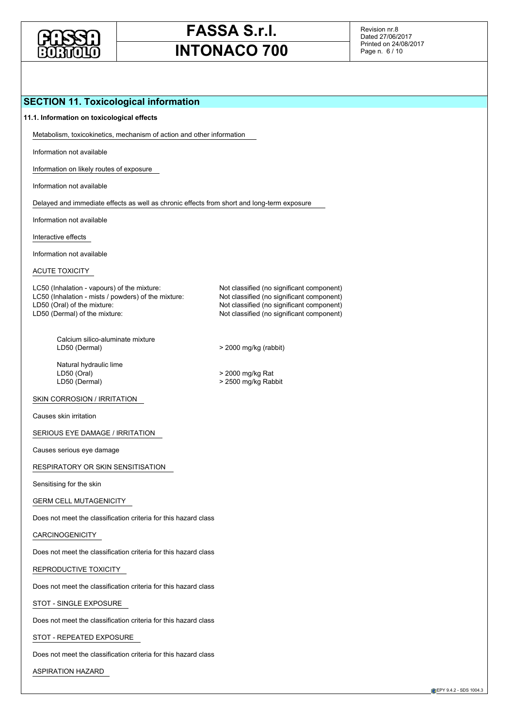

Revision nr.8 Dated 27/06/2017 Printed on 24/08/2017 Page n. 6 / 10

## **SECTION 11. Toxicological information**

### **11.1. Information on toxicological effects**

Metabolism, toxicokinetics, mechanism of action and other information

Information not available

Information on likely routes of exposure

Information not available

Delayed and immediate effects as well as chronic effects from short and long-term exposure

Information not available

Interactive effects

Information not available

## ACUTE TOXICITY

LC50 (Inhalation - vapours) of the mixture: Not classified (no significant component) LC50 (Inhalation - mists / powders) of the mixture: Not classified (no significant component) LD50 (Oral) of the mixture: Not classified (no significant component) LD50 (Dermal) of the mixture: Not classified (no significant component)

Calcium silico-aluminate mixture<br>LD50 (Dermal)

Natural hydraulic lime<br>LD50 (Oral) LD50 (Oral) > 2000 mg/kg Rat

SKIN CORROSION / IRRITATION

Causes skin irritation

SERIOUS EYE DAMAGE / IRRITATION

Causes serious eye damage

RESPIRATORY OR SKIN SENSITISATION

Sensitising for the skin

#### GERM CELL MUTAGENICITY

Does not meet the classification criteria for this hazard class

#### CARCINOGENICITY

Does not meet the classification criteria for this hazard class

REPRODUCTIVE TOXICITY

Does not meet the classification criteria for this hazard class

STOT - SINGLE EXPOSURE

Does not meet the classification criteria for this hazard class

STOT - REPEATED EXPOSURE

Does not meet the classification criteria for this hazard class

ASPIRATION HAZARD

 $>$  2000 mg/kg (rabbit)

> 2500 mg/kg Rabbit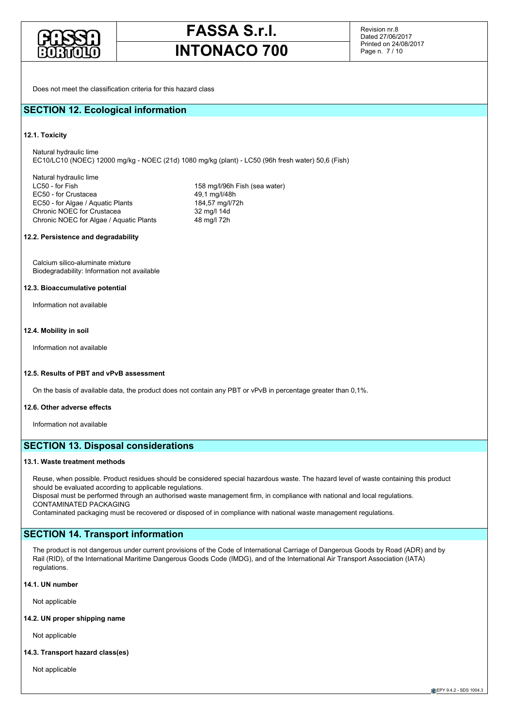

Revision nr.8 Dated 27/06/2017 Printed on 24/08/2017 Page n. 7 / 10

Does not meet the classification criteria for this hazard class

## **SECTION 12. Ecological information**

#### **12.1. Toxicity**

Natural hydraulic lime EC10/LC10 (NOEC) 12000 mg/kg - NOEC (21d) 1080 mg/kg (plant) - LC50 (96h fresh water) 50,6 (Fish)

Natural hydraulic lime LC50 - for Fish 158 mg/l/96h Fish (sea water)<br>EC50 - for Crustacea 158 mg/l/48h EC50 - for Crustacea EC50 - for Algae / Aquatic Plants 184,57 mg/l/72h<br>
Chronic NOEC for Crustacea 32 mg/l 14d Chronic NOEC for Crustacea Chronic NOEC for Algae / Aquatic Plants 48 mg/l 72h

#### **12.2. Persistence and degradability**

Calcium silico-aluminate mixture Biodegradability: Information not available

#### **12.3. Bioaccumulative potential**

Information not available

#### **12.4. Mobility in soil**

Information not available

#### **12.5. Results of PBT and vPvB assessment**

On the basis of available data, the product does not contain any PBT or vPvB in percentage greater than 0,1%.

#### **12.6. Other adverse effects**

Information not available

## **SECTION 13. Disposal considerations**

#### **13.1. Waste treatment methods**

Reuse, when possible. Product residues should be considered special hazardous waste. The hazard level of waste containing this product should be evaluated according to applicable regulations.

Disposal must be performed through an authorised waste management firm, in compliance with national and local regulations. CONTAMINATED PACKAGING

Contaminated packaging must be recovered or disposed of in compliance with national waste management regulations.

## **SECTION 14. Transport information**

The product is not dangerous under current provisions of the Code of International Carriage of Dangerous Goods by Road (ADR) and by Rail (RID), of the International Maritime Dangerous Goods Code (IMDG), and of the International Air Transport Association (IATA) regulations.

#### **14.1. UN number**

Not applicable

#### **14.2. UN proper shipping name**

Not applicable

#### **14.3. Transport hazard class(es)**

Not applicable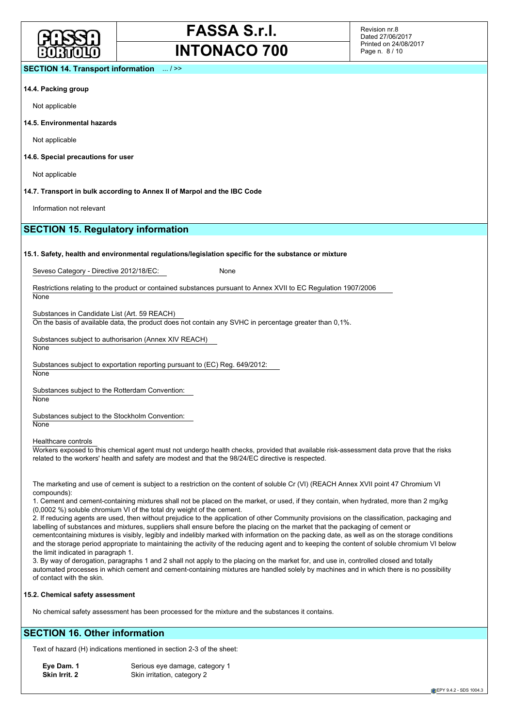

Revision nr.8 Dated 27/06/2017 Printed on 24/08/2017 Page n. 8 / 10

#### **SECTION 14. Transport information** ... / >>

#### **14.4. Packing group**

Not applicable

#### **14.5. Environmental hazards**

Not applicable

#### **14.6. Special precautions for user**

Not applicable

#### **14.7. Transport in bulk according to Annex II of Marpol and the IBC Code**

Information not relevant

## **SECTION 15. Regulatory information**

#### **15.1. Safety, health and environmental regulations/legislation specific for the substance or mixture**

Seveso Category - Directive 2012/18/EC: None

Restrictions relating to the product or contained substances pursuant to Annex XVII to EC Regulation 1907/2006 None

Substances in Candidate List (Art. 59 REACH)

On the basis of available data, the product does not contain any SVHC in percentage greater than 0,1%.

Substances subject to authorisarion (Annex XIV REACH) **None** 

Substances subject to exportation reporting pursuant to (EC) Reg. 649/2012:

**None** 

Substances subject to the Rotterdam Convention: **None** 

Substances subject to the Stockholm Convention: **None** 

Healthcare controls

Workers exposed to this chemical agent must not undergo health checks, provided that available risk-assessment data prove that the risks related to the workers' health and safety are modest and that the 98/24/EC directive is respected.

The marketing and use of cement is subject to a restriction on the content of soluble Cr (VI) (REACH Annex XVII point 47 Chromium VI compounds):

1. Cement and cement-containing mixtures shall not be placed on the market, or used, if they contain, when hydrated, more than 2 mg/kg (0,0002 %) soluble chromium VI of the total dry weight of the cement.

2. If reducing agents are used, then without prejudice to the application of other Community provisions on the classification, packaging and labelling of substances and mixtures, suppliers shall ensure before the placing on the market that the packaging of cement or

cementcontaining mixtures is visibly, legibly and indelibly marked with information on the packing date, as well as on the storage conditions and the storage period appropriate to maintaining the activity of the reducing agent and to keeping the content of soluble chromium VI below the limit indicated in paragraph 1.

3. By way of derogation, paragraphs 1 and 2 shall not apply to the placing on the market for, and use in, controlled closed and totally automated processes in which cement and cement-containing mixtures are handled solely by machines and in which there is no possibility of contact with the skin.

#### **15.2. Chemical safety assessment**

No chemical safety assessment has been processed for the mixture and the substances it contains.

## **SECTION 16. Other information**

Text of hazard (H) indications mentioned in section 2-3 of the sheet:

**Eye Dam. 1** Serious eye damage, category 1<br> **Skin Irrit. 2** Skin irritation, category 2 **Skin irritation, category 2** 

EPY 9.4.2 - SDS 1004.3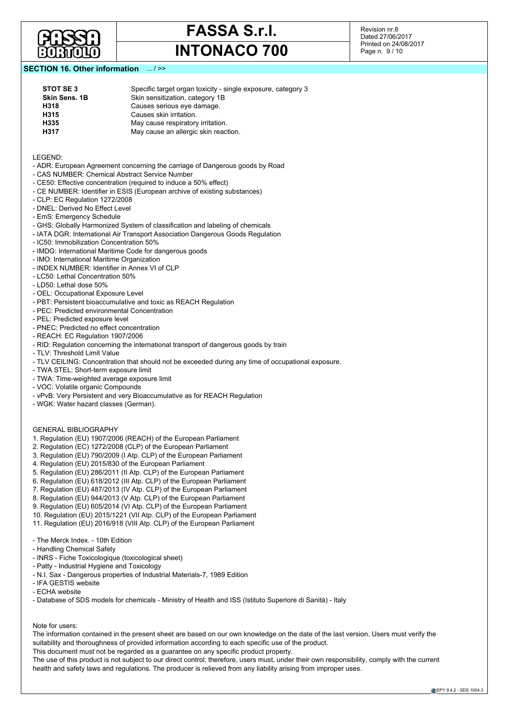

Revision nr.8 Dated 27/06/2017 Printed on 24/08/2017 Page n. 9 / 10

## **SECTION 16. Other information** ... / >>

| STOT SE 3            | Specific target organ toxicity - single exposure, category 3 |
|----------------------|--------------------------------------------------------------|
| <b>Skin Sens, 1B</b> | Skin sensitization, category 1B                              |
| H318                 | Causes serious eye damage.                                   |
| H315                 | Causes skin irritation.                                      |
| H335                 | May cause respiratory irritation.                            |
| H317                 | May cause an allergic skin reaction.                         |
|                      |                                                              |

LEGEND:

- ADR: European Agreement concerning the carriage of Dangerous goods by Road
- CAS NUMBER: Chemical Abstract Service Number
- CE50: Effective concentration (required to induce a 50% effect)
- CE NUMBER: Identifier in ESIS (European archive of existing substances)
- CLP: EC Regulation 1272/2008
- DNEL: Derived No Effect Level
- EmS: Emergency Schedule
- GHS: Globally Harmonized System of classification and labeling of chemicals
- IATA DGR: International Air Transport Association Dangerous Goods Regulation
- IC50: Immobilization Concentration 50%
- IMDG: International Maritime Code for dangerous goods
- IMO: International Maritime Organization
- INDEX NUMBER: Identifier in Annex VI of CLP
- LC50: Lethal Concentration 50%
- LD50: Lethal dose 50%
- OEL: Occupational Exposure Level
- PBT: Persistent bioaccumulative and toxic as REACH Regulation
- PEC: Predicted environmental Concentration
- PEL: Predicted exposure level
- PNEC: Predicted no effect concentration
- REACH: EC Regulation 1907/2006
- RID: Regulation concerning the international transport of dangerous goods by train
- TLV: Threshold Limit Value
- TLV CEILING: Concentration that should not be exceeded during any time of occupational exposure.
- TWA STEL: Short-term exposure limit
- TWA: Time-weighted average exposure limit
- VOC: Volatile organic Compounds
- vPvB: Very Persistent and very Bioaccumulative as for REACH Regulation
- WGK: Water hazard classes (German).
- GENERAL BIBLIOGRAPHY
- 1. Regulation (EU) 1907/2006 (REACH) of the European Parliament
- 2. Regulation (EC) 1272/2008 (CLP) of the European Parliament
- 3. Regulation (EU) 790/2009 (I Atp. CLP) of the European Parliament
- 4. Regulation (EU) 2015/830 of the European Parliament
- 5. Regulation (EU) 286/2011 (II Atp. CLP) of the European Parliament
- 6. Regulation (EU) 618/2012 (III Atp. CLP) of the European Parliament
- 7. Regulation (EU) 487/2013 (IV Atp. CLP) of the European Parliament
- 8. Regulation (EU) 944/2013 (V Atp. CLP) of the European Parliament
- 9. Regulation (EU) 605/2014 (VI Atp. CLP) of the European Parliament
- 10. Regulation (EU) 2015/1221 (VII Atp. CLP) of the European Parliament
- 11. Regulation (EU) 2016/918 (VIII Atp. CLP) of the European Parliament
- The Merck Index. 10th Edition
- Handling Chemical Safety
- INRS Fiche Toxicologique (toxicological sheet)
- Patty Industrial Hygiene and Toxicology
- N.I. Sax Dangerous properties of Industrial Materials-7, 1989 Edition
- IFA GESTIS website
- ECHA website
- Database of SDS models for chemicals Ministry of Health and ISS (Istituto Superiore di Sanità) Italy

Note for users:

The information contained in the present sheet are based on our own knowledge on the date of the last version. Users must verify the suitability and thoroughness of provided information according to each specific use of the product.

This document must not be regarded as a guarantee on any specific product property.

The use of this product is not subject to our direct control; therefore, users must, under their own responsibility, comply with the current health and safety laws and regulations. The producer is relieved from any liability arising from improper uses.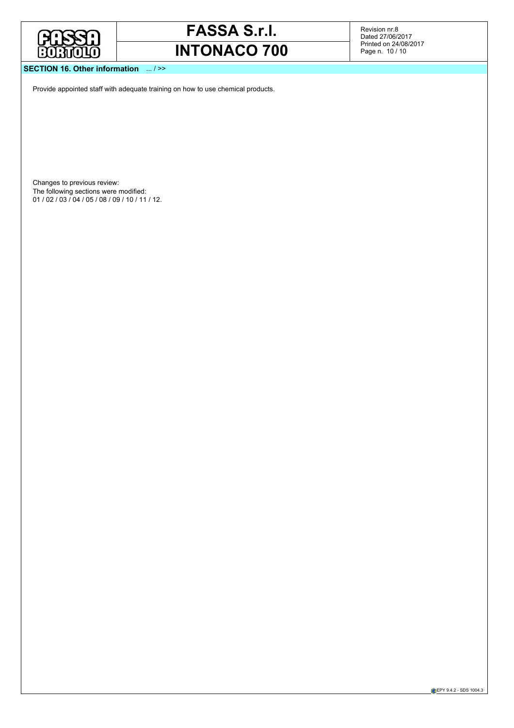

Revision nr.8 Dated 27/06/2017 Printed on 24/08/2017 Page n. 10 / 10

## **SECTION 16. Other information** ... / >>

Provide appointed staff with adequate training on how to use chemical products.

Changes to previous review: The following sections were modified: 01 / 02 / 03 / 04 / 05 / 08 / 09 / 10 / 11 / 12.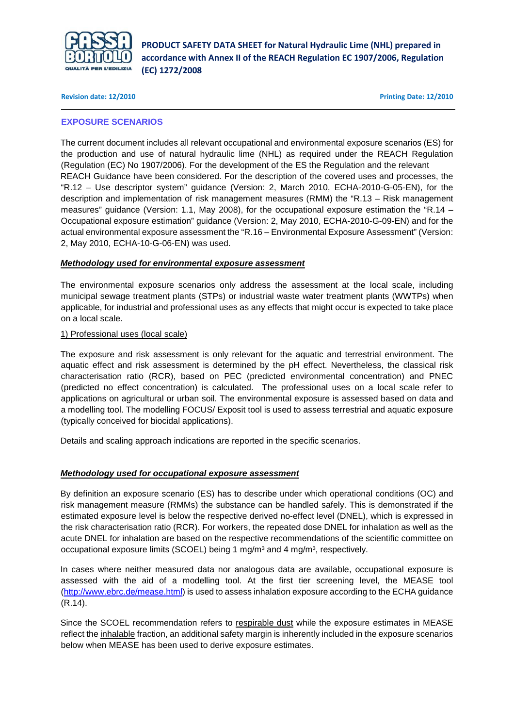

### **Revision date: 12/2010 Printing Date: 12/2010**

## **EXPOSURE SCENARIOS**

The current document includes all relevant occupational and environmental exposure scenarios (ES) for the production and use of natural hydraulic lime (NHL) as required under the REACH Regulation (Regulation (EC) No 1907/2006). For the development of the ES the Regulation and the relevant REACH Guidance have been considered. For the description of the covered uses and processes, the "R.12 – Use descriptor system" guidance (Version: 2, March 2010, ECHA-2010-G-05-EN), for the description and implementation of risk management measures (RMM) the "R.13 – Risk management measures" guidance (Version: 1.1, May 2008), for the occupational exposure estimation the "R.14 – Occupational exposure estimation" guidance (Version: 2, May 2010, ECHA-2010-G-09-EN) and for the actual environmental exposure assessment the "R.16 – Environmental Exposure Assessment" (Version: 2, May 2010, ECHA-10-G-06-EN) was used.

## **Methodology used for environmental exposure assessment**

The environmental exposure scenarios only address the assessment at the local scale, including municipal sewage treatment plants (STPs) or industrial waste water treatment plants (WWTPs) when applicable, for industrial and professional uses as any effects that might occur is expected to take place on a local scale.

## 1) Professional uses (local scale)

The exposure and risk assessment is only relevant for the aquatic and terrestrial environment. The aquatic effect and risk assessment is determined by the pH effect. Nevertheless, the classical risk characterisation ratio (RCR), based on PEC (predicted environmental concentration) and PNEC (predicted no effect concentration) is calculated. The professional uses on a local scale refer to applications on agricultural or urban soil. The environmental exposure is assessed based on data and a modelling tool. The modelling FOCUS/ Exposit tool is used to assess terrestrial and aquatic exposure (typically conceived for biocidal applications).

Details and scaling approach indications are reported in the specific scenarios.

## **Methodology used for occupational exposure assessment**

By definition an exposure scenario (ES) has to describe under which operational conditions (OC) and risk management measure (RMMs) the substance can be handled safely. This is demonstrated if the estimated exposure level is below the respective derived no-effect level (DNEL), which is expressed in the risk characterisation ratio (RCR). For workers, the repeated dose DNEL for inhalation as well as the acute DNEL for inhalation are based on the respective recommendations of the scientific committee on occupational exposure limits (SCOEL) being 1 mg/m<sup>3</sup> and 4 mg/m<sup>3</sup>, respectively.

In cases where neither measured data nor analogous data are available, occupational exposure is assessed with the aid of a modelling tool. At the first tier screening level, the MEASE tool (http://www.ebrc.de/mease.html) is used to assess inhalation exposure according to the ECHA guidance (R.14).

Since the SCOEL recommendation refers to respirable dust while the exposure estimates in MEASE reflect the inhalable fraction, an additional safety margin is inherently included in the exposure scenarios below when MEASE has been used to derive exposure estimates.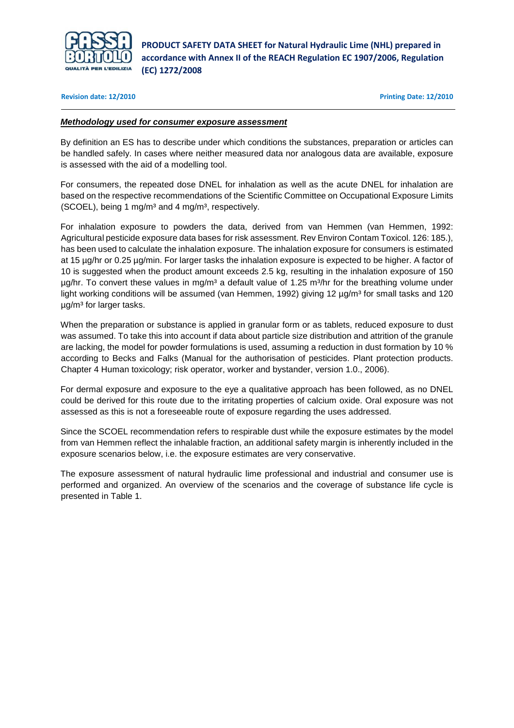

### **Revision date: 12/2010 Printing Date: 12/2010**

## **Methodology used for consumer exposure assessment**

By definition an ES has to describe under which conditions the substances, preparation or articles can be handled safely. In cases where neither measured data nor analogous data are available, exposure is assessed with the aid of a modelling tool.

For consumers, the repeated dose DNEL for inhalation as well as the acute DNEL for inhalation are based on the respective recommendations of the Scientific Committee on Occupational Exposure Limits  $(SCOEL)$ , being 1 mg/m<sup>3</sup> and 4 mg/m<sup>3</sup>, respectively.

For inhalation exposure to powders the data, derived from van Hemmen (van Hemmen, 1992: Agricultural pesticide exposure data bases for risk assessment. Rev Environ Contam Toxicol. 126: 185.), has been used to calculate the inhalation exposure. The inhalation exposure for consumers is estimated at 15 µg/hr or 0.25 µg/min. For larger tasks the inhalation exposure is expected to be higher. A factor of 10 is suggested when the product amount exceeds 2.5 kg, resulting in the inhalation exposure of 150  $\mu$ g/hr. To convert these values in mg/m<sup>3</sup> a default value of 1.25 m<sup>3</sup>/hr for the breathing volume under light working conditions will be assumed (van Hemmen, 1992) giving 12  $\mu$ g/m<sup>3</sup> for small tasks and 120  $\mu$ g/m<sup>3</sup> for larger tasks.

When the preparation or substance is applied in granular form or as tablets, reduced exposure to dust was assumed. To take this into account if data about particle size distribution and attrition of the granule are lacking, the model for powder formulations is used, assuming a reduction in dust formation by 10 % according to Becks and Falks (Manual for the authorisation of pesticides. Plant protection products. Chapter 4 Human toxicology; risk operator, worker and bystander, version 1.0., 2006).

For dermal exposure and exposure to the eye a qualitative approach has been followed, as no DNEL could be derived for this route due to the irritating properties of calcium oxide. Oral exposure was not assessed as this is not a foreseeable route of exposure regarding the uses addressed.

Since the SCOEL recommendation refers to respirable dust while the exposure estimates by the model from van Hemmen reflect the inhalable fraction, an additional safety margin is inherently included in the exposure scenarios below, i.e. the exposure estimates are very conservative.

The exposure assessment of natural hydraulic lime professional and industrial and consumer use is performed and organized. An overview of the scenarios and the coverage of substance life cycle is presented in Table 1.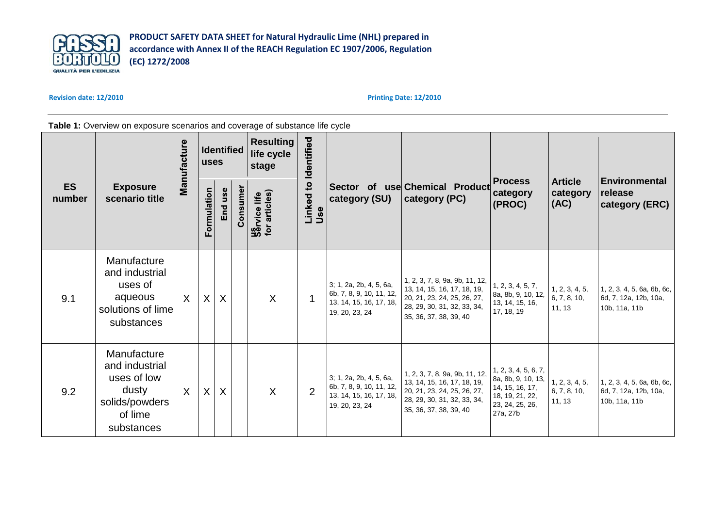

### **Revision date: 12/2010**

**Printing Date: 12/2010**

## Table 1: Overview on exposure scenarios and coverage of substance life cycle

| <b>ES</b><br>number | <b>Exposure</b><br>scenario title                                                                | Manufacture | <b>Identified</b><br><b>uses</b> |         | <b>Resulting</b><br>life cycle<br>stage |                                      | Identified                      |                                                                                                  |                                                                                                                                                       |                                                                                                                 |                                          |                                                                      |
|---------------------|--------------------------------------------------------------------------------------------------|-------------|----------------------------------|---------|-----------------------------------------|--------------------------------------|---------------------------------|--------------------------------------------------------------------------------------------------|-------------------------------------------------------------------------------------------------------------------------------------------------------|-----------------------------------------------------------------------------------------------------------------|------------------------------------------|----------------------------------------------------------------------|
|                     |                                                                                                  |             | Formulation                      | End use | Consume                                 | <b>Service life</b><br>for articles) | $\overline{c}$<br>Linked<br>Use | category (SU)                                                                                    | Sector of use Chemical Product<br>category (PC)                                                                                                       | <b>Process</b><br>category<br>(PROC)                                                                            | <b>Article</b><br>category<br>(AC)       | <b>Environmental</b><br>release<br>category (ERC)                    |
| 9.1                 | Manufacture<br>and industrial<br>uses of<br>aqueous<br>solutions of lime<br>substances           | X           | $\sf X$                          | $\sf X$ |                                         | $\mathsf{X}$                         |                                 | 3; 1, 2a, 2b, 4, 5, 6a,<br>6b, 7, 8, 9, 10, 11, 12,<br>13, 14, 15, 16, 17, 18,<br>19, 20, 23, 24 | 1, 2, 3, 7, 8, 9a, 9b, 11, 12,<br>13, 14, 15, 16, 17, 18, 19,<br>20, 21, 23, 24, 25, 26, 27,<br>28, 29, 30, 31, 32, 33, 34,<br>35, 36, 37, 38, 39, 40 | 1, 2, 3, 4, 5, 7,<br>8a, 8b, 9, 10, 12,<br>13, 14, 15, 16,<br>17, 18, 19                                        | 1, 2, 3, 4, 5,<br>6, 7, 8, 10,<br>11, 13 | 1, 2, 3, 4, 5, 6a, 6b, 6c,<br>6d, 7, 12a, 12b, 10a,<br>10b, 11a, 11b |
| 9.2                 | Manufacture<br>and industrial<br>uses of low<br>dusty<br>solids/powders<br>of lime<br>substances | $\sf X$     | X                                | X       |                                         | $\sf X$                              | $\overline{2}$                  | 3; 1, 2a, 2b, 4, 5, 6a,<br>6b, 7, 8, 9, 10, 11, 12,<br>13, 14, 15, 16, 17, 18,<br>19, 20, 23, 24 | 1, 2, 3, 7, 8, 9a, 9b, 11, 12,<br>13, 14, 15, 16, 17, 18, 19,<br>20, 21, 23, 24, 25, 26, 27,<br>28, 29, 30, 31, 32, 33, 34,<br>35, 36, 37, 38, 39, 40 | 1, 2, 3, 4, 5, 6, 7,<br>8a, 8b, 9, 10, 13,<br>14, 15, 16, 17,<br>18, 19, 21, 22,<br>23, 24, 25, 26,<br>27a, 27b | 1, 2, 3, 4, 5,<br>6, 7, 8, 10,<br>11, 13 | 1, 2, 3, 4, 5, 6a, 6b, 6c,<br>6d, 7, 12a, 12b, 10a,<br>10b, 11a, 11b |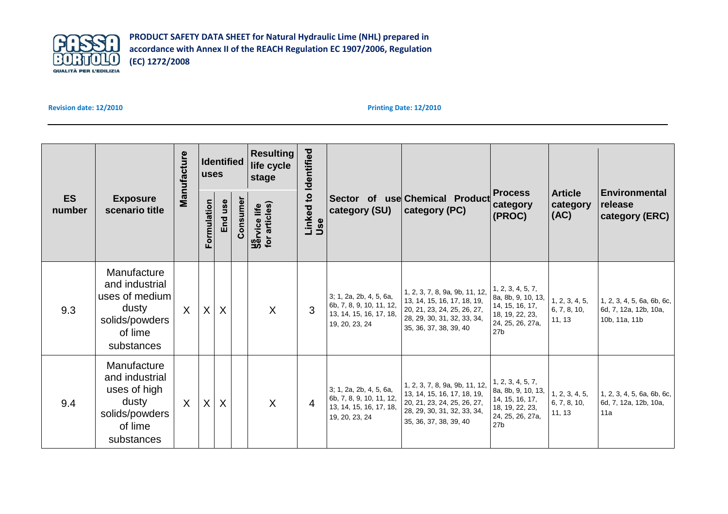

## **Revision date: 12/2010**

| <b>ES</b><br>number | <b>Exposure</b><br>scenario title                                                                   | Manufacture  | Identified<br><b>uses</b> |         |          | <b>Resulting</b><br>life cycle<br>stage | Identified       |                                                                                                  |                                                                                                                                                       |                                                                                                                      |                                          |                                                                      |
|---------------------|-----------------------------------------------------------------------------------------------------|--------------|---------------------------|---------|----------|-----------------------------------------|------------------|--------------------------------------------------------------------------------------------------|-------------------------------------------------------------------------------------------------------------------------------------------------------|----------------------------------------------------------------------------------------------------------------------|------------------------------------------|----------------------------------------------------------------------|
|                     |                                                                                                     |              | Formulation               | End use | Consumer | <b>Service life</b><br>for articles)    | Linked to<br>Use | category (SU)                                                                                    | Sector of use Chemical Product<br>category (PC)                                                                                                       | <b>Process</b><br>category<br>(PROC)                                                                                 | <b>Article</b><br>category<br> (AC)      | <b>Environmental</b><br>release<br>category (ERC)                    |
| 9.3                 | Manufacture<br>and industrial<br>uses of medium<br>dusty<br>solids/powders<br>of lime<br>substances | $\mathsf{X}$ | $\mathsf{X}$              | $\sf X$ |          | $\overline{X}$                          | 3                | 3; 1, 2a, 2b, 4, 5, 6a,<br>6b, 7, 8, 9, 10, 11, 12,<br>13, 14, 15, 16, 17, 18,<br>19, 20, 23, 24 | 1, 2, 3, 7, 8, 9a, 9b, 11, 12,<br>13, 14, 15, 16, 17, 18, 19,<br>20, 21, 23, 24, 25, 26, 27,<br>28, 29, 30, 31, 32, 33, 34,<br>35, 36, 37, 38, 39, 40 | 1, 2, 3, 4, 5, 7,<br>8a, 8b, 9, 10, 13,<br>14, 15, 16, 17,<br>18, 19, 22, 23,<br>24, 25, 26, 27a,<br>27 <sub>b</sub> | 1, 2, 3, 4, 5,<br>6, 7, 8, 10,<br>11, 13 | 1, 2, 3, 4, 5, 6a, 6b, 6c,<br>6d, 7, 12a, 12b, 10a,<br>10b, 11a, 11b |
| 9.4                 | Manufacture<br>and industrial<br>uses of high<br>dusty<br>solids/powders<br>of lime<br>substances   | $\sf X$      | X                         | $\sf X$ |          | X                                       | 4                | 3; 1, 2a, 2b, 4, 5, 6a,<br>6b, 7, 8, 9, 10, 11, 12,<br>13, 14, 15, 16, 17, 18,<br>19, 20, 23, 24 | 1, 2, 3, 7, 8, 9a, 9b, 11, 12,<br>13, 14, 15, 16, 17, 18, 19,<br>20, 21, 23, 24, 25, 26, 27,<br>28, 29, 30, 31, 32, 33, 34,<br>35, 36, 37, 38, 39, 40 | 1, 2, 3, 4, 5, 7,<br>8a, 8b, 9, 10, 13,<br>14, 15, 16, 17,<br>18, 19, 22, 23,<br>24, 25, 26, 27a,<br>27 <sub>b</sub> | 1, 2, 3, 4, 5,<br>6, 7, 8, 10,<br>11, 13 | 1, 2, 3, 4, 5, 6a, 6b, 6c,<br>6d, 7, 12a, 12b, 10a,<br>11a           |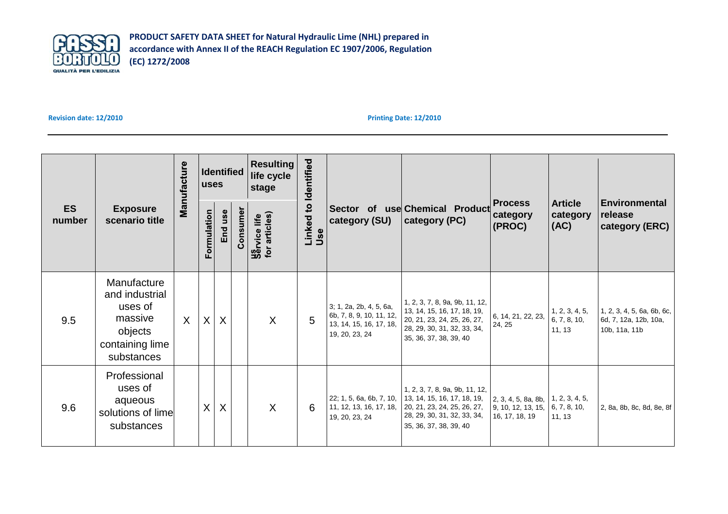

## **Revision date: 12/2010**

| <b>ES</b><br>number | <b>Exposure</b><br>scenario title                                                               | Manufacture |             | <b>Identified</b><br><b>luses</b> |         | Identified<br><b>Resulting</b><br>life cycle<br>stage |                                   |                                                                                                  |                                                                                                                                                       |                                                                                                                 |                                                   |                                                                      |
|---------------------|-------------------------------------------------------------------------------------------------|-------------|-------------|-----------------------------------|---------|-------------------------------------------------------|-----------------------------------|--------------------------------------------------------------------------------------------------|-------------------------------------------------------------------------------------------------------------------------------------------------------|-----------------------------------------------------------------------------------------------------------------|---------------------------------------------------|----------------------------------------------------------------------|
|                     |                                                                                                 |             | Formulation | End use                           | Consume | <b>Service life</b><br>for articles)                  | Linked to<br>category (SU)<br>Use | Sector of use Chemical Product<br>category (PC)                                                  | <b>Process</b><br>category<br>$ $ (PROC)                                                                                                              | <b>Article</b><br>category<br>(AC)                                                                              | <b>Environmental</b><br>release<br>category (ERC) |                                                                      |
| 9.5                 | Manufacture<br>and industrial<br>uses of<br>massive<br>objects<br>containing lime<br>substances | $\sf X$     | X           | $\sf X$                           |         | $\sf X$                                               | 5                                 | 3; 1, 2a, 2b, 4, 5, 6a,<br>6b, 7, 8, 9, 10, 11, 12,<br>13, 14, 15, 16, 17, 18,<br>19, 20, 23, 24 | 1, 2, 3, 7, 8, 9a, 9b, 11, 12,<br>13, 14, 15, 16, 17, 18, 19,<br>20, 21, 23, 24, 25, 26, 27,<br>28, 29, 30, 31, 32, 33, 34,<br>35, 36, 37, 38, 39, 40 | 6, 14, 21, 22, 23,<br>24, 25                                                                                    | 1, 2, 3, 4, 5,<br>6, 7, 8, 10,<br>11, 13          | 1, 2, 3, 4, 5, 6a, 6b, 6c,<br>6d, 7, 12a, 12b, 10a,<br>10b, 11a, 11b |
| 9.6                 | Professional<br>uses of<br>aqueous<br>solutions of lime<br>substances                           |             | X           | X                                 |         | $\sf X$                                               | 6                                 | 22; 1, 5, 6a, 6b, 7, 10,<br>11, 12, 13, 16, 17, 18,<br>19, 20, 23, 24                            | 1, 2, 3, 7, 8, 9a, 9b, 11, 12,<br>13, 14, 15, 16, 17, 18, 19,<br>20, 21, 23, 24, 25, 26, 27,<br>28, 29, 30, 31, 32, 33, 34,<br>35, 36, 37, 38, 39, 40 | $\vert$ 2, 3, 4, 5, 8a, 8b, $\vert$ 1, 2, 3, 4, 5,<br>$\vert$ 9, 10, 12, 13, 15, 6, 7, 8, 10,<br>16, 17, 18, 19 | 11, 13                                            | 2, 8a, 8b, 8c, 8d, 8e, 8f                                            |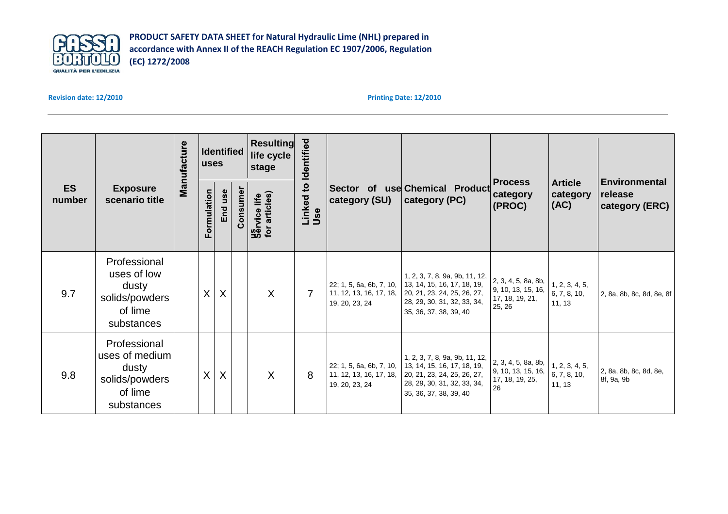

**Revision date: 12/2010**

| <b>ES</b><br>number | <b>Exposure</b><br>scenario title                                                  | Manufacture | Identified<br><b>uses</b> |         |          | Identified<br><b>Resulting</b><br>life cycle<br>stage |                    |                                                                       |                                                                                                                                                       |                                                                        |                                          |                                                   |
|---------------------|------------------------------------------------------------------------------------|-------------|---------------------------|---------|----------|-------------------------------------------------------|--------------------|-----------------------------------------------------------------------|-------------------------------------------------------------------------------------------------------------------------------------------------------|------------------------------------------------------------------------|------------------------------------------|---------------------------------------------------|
|                     |                                                                                    |             | Formulation               | End use | Consumer | <b>Service life</b><br>for articles)                  | Linked to I<br>Use | category (SU)                                                         | Sector of use Chemical Product<br>category (PC)                                                                                                       | <b>Process</b><br>category<br>(PROC)                                   | <b>Article</b><br>category<br>(AC)       | <b>Environmental</b><br>release<br>category (ERC) |
| 9.7                 | Professional<br>uses of low<br>dusty<br>solids/powders<br>of lime<br>substances    |             | X                         | $\sf X$ |          | $\overline{X}$                                        | $\overline{7}$     | 22; 1, 5, 6a, 6b, 7, 10,<br>11, 12, 13, 16, 17, 18,<br>19, 20, 23, 24 | 1, 2, 3, 7, 8, 9a, 9b, 11, 12,<br>13, 14, 15, 16, 17, 18, 19,<br>20, 21, 23, 24, 25, 26, 27,<br>28, 29, 30, 31, 32, 33, 34,<br>35, 36, 37, 38, 39, 40 | 2, 3, 4, 5, 8a, 8b,<br>9, 10, 13, 15, 16,<br>17, 18, 19, 21,<br>25, 26 | 1, 2, 3, 4, 5,<br>6, 7, 8, 10,<br>11, 13 | 2, 8a, 8b, 8c, 8d, 8e, 8f                         |
| 9.8                 | Professional<br>uses of medium<br>dusty<br>solids/powders<br>of lime<br>substances |             | X                         | $\sf X$ |          | $\mathsf{X}$                                          | 8                  | 22; 1, 5, 6a, 6b, 7, 10,<br>11, 12, 13, 16, 17, 18,<br>19, 20, 23, 24 | 1, 2, 3, 7, 8, 9a, 9b, 11, 12,<br>13, 14, 15, 16, 17, 18, 19,<br>20, 21, 23, 24, 25, 26, 27,<br>28, 29, 30, 31, 32, 33, 34,<br>35, 36, 37, 38, 39, 40 | 2, 3, 4, 5, 8a, 8b,<br>9, 10, 13, 15, 16,<br>17, 18, 19, 25,<br>26     | 1, 2, 3, 4, 5,<br>6, 7, 8, 10,<br>11, 13 | 2, 8a, 8b, 8c, 8d, 8e,<br>8f, 9a, 9b              |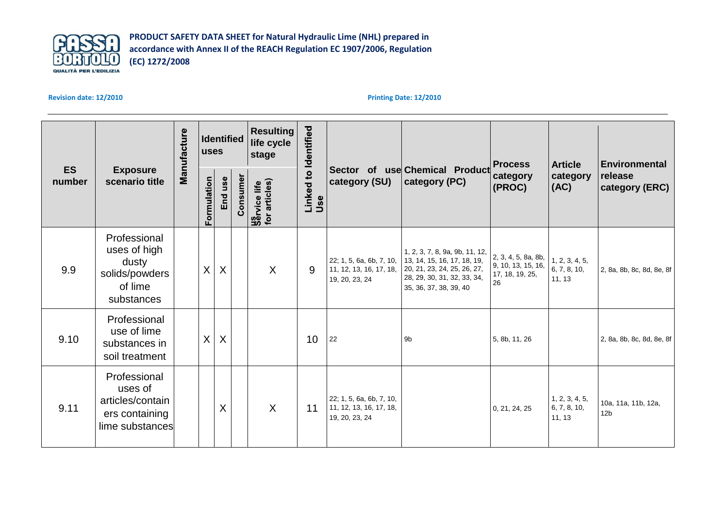

**Revision date: 12/2010**

|                     |                                                                                  | Manufacture | <b>uses</b> | Identified |          | <b>Resulting</b><br>life cycle<br>stage |                             |                                                                       |                                                                                                                                                       | <b>Process</b>                                                     | <b>Article</b>                           | <b>Environmental</b>                   |
|---------------------|----------------------------------------------------------------------------------|-------------|-------------|------------|----------|-----------------------------------------|-----------------------------|-----------------------------------------------------------------------|-------------------------------------------------------------------------------------------------------------------------------------------------------|--------------------------------------------------------------------|------------------------------------------|----------------------------------------|
| <b>ES</b><br>number | <b>Exposure</b><br>scenario title                                                |             | Formulation | End use    | Consumer | <b>Sarvice life</b><br>for articles)    | Linked to Identified<br>Use | category (SU)                                                         | Sector of use Chemical Product<br>category (PC)                                                                                                       | category<br>(PROC)                                                 | category<br> (AC)                        | release<br>category (ERC)              |
| 9.9                 | Professional<br>uses of high<br>dusty<br>solids/powders<br>of lime<br>substances |             | X           | X          |          | $\sf X$                                 | 9                           | 22; 1, 5, 6a, 6b, 7, 10,<br>11, 12, 13, 16, 17, 18,<br>19, 20, 23, 24 | 1, 2, 3, 7, 8, 9a, 9b, 11, 12,<br>13, 14, 15, 16, 17, 18, 19,<br>20, 21, 23, 24, 25, 26, 27,<br>28, 29, 30, 31, 32, 33, 34,<br>35, 36, 37, 38, 39, 40 | 2, 3, 4, 5, 8a, 8b,<br>9, 10, 13, 15, 16,<br>17, 18, 19, 25,<br>26 | 1, 2, 3, 4, 5,<br>6, 7, 8, 10,<br>11, 13 | 2, 8a, 8b, 8c, 8d, 8e, 8f              |
| 9.10                | Professional<br>use of lime<br>substances in<br>soil treatment                   |             | X           | $\sf X$    |          |                                         | 10                          | 22                                                                    | 9b                                                                                                                                                    | 5, 8b, 11, 26                                                      |                                          | 2, 8a, 8b, 8c, 8d, 8e, 8f              |
| 9.11                | Professional<br>uses of<br>articles/contain<br>ers containing<br>lime substances |             |             | $\sf X$    |          | $\sf X$                                 | 11                          | 22; 1, 5, 6a, 6b, 7, 10,<br>11, 12, 13, 16, 17, 18,<br>19, 20, 23, 24 |                                                                                                                                                       | 0, 21, 24, 25                                                      | 1, 2, 3, 4, 5,<br>6, 7, 8, 10,<br>11, 13 | 10a, 11a, 11b, 12a,<br>12 <sub>b</sub> |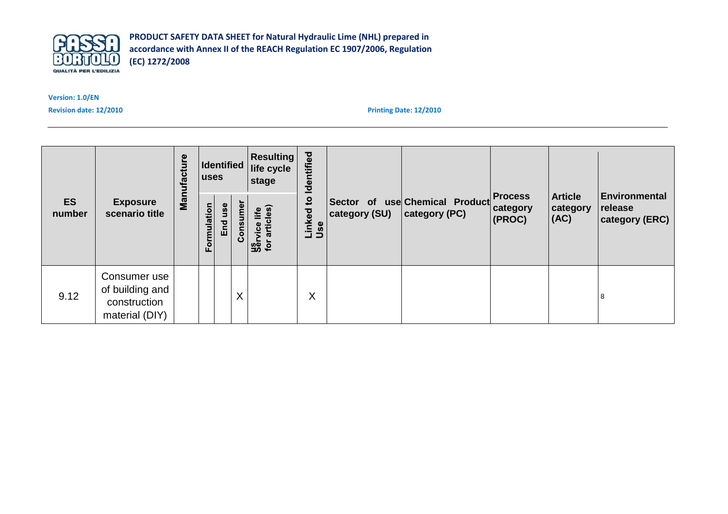

**Version: 1.0/EN** 

**Revision date: 12/2010**

|                     |                                                                   | Manufacture | <b>Identified</b><br>luses |            |          | <b>Resulting</b><br>life cycle<br>stage     | Identified                               |               | Sector of use Chemical Product<br>category (PC) | <b>Process</b><br>category<br>(PROC) | <b>Article</b><br>category<br> (AC) |                                                   |
|---------------------|-------------------------------------------------------------------|-------------|----------------------------|------------|----------|---------------------------------------------|------------------------------------------|---------------|-------------------------------------------------|--------------------------------------|-------------------------------------|---------------------------------------------------|
| <b>ES</b><br>number | <b>Exposure</b><br>scenario title                                 |             | ormulation<br>ш.           | use<br>End | Consumer | articles)<br>life<br><b>Us</b><br>for artic | $\overline{\mathbf{c}}$<br>Linked<br>Use | category (SU) |                                                 |                                      |                                     | <b>Environmental</b><br>release<br>category (ERC) |
| 9.12                | Consumer use<br>of building and<br>construction<br>material (DIY) |             |                            |            | X        |                                             | X                                        |               |                                                 |                                      |                                     | 8                                                 |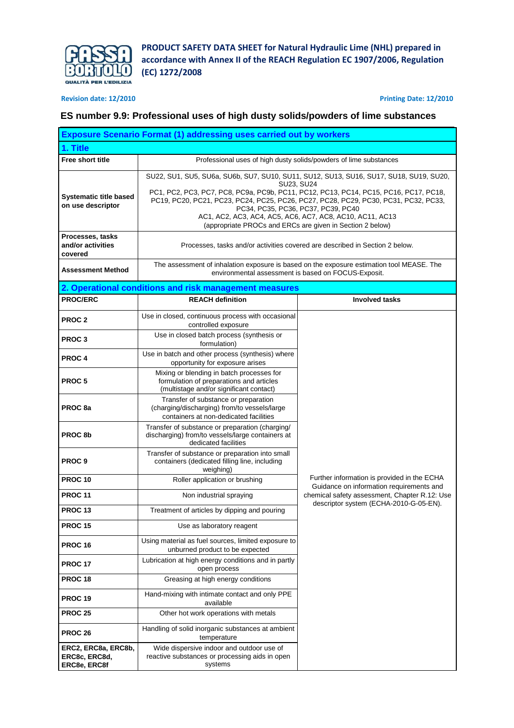

**Revision date: 12/2010 Printing Date: 12/2010**

## **ES number 9.9: Professional uses of high dusty solids/powders of lime substances**

|                                                      | <b>Exposure Scenario Format (1) addressing uses carried out by workers</b>                                                                                                                                                                                                                                                                                                                                                                         |                                                                                                                                                  |  |  |  |  |  |
|------------------------------------------------------|----------------------------------------------------------------------------------------------------------------------------------------------------------------------------------------------------------------------------------------------------------------------------------------------------------------------------------------------------------------------------------------------------------------------------------------------------|--------------------------------------------------------------------------------------------------------------------------------------------------|--|--|--|--|--|
| 1. Title                                             |                                                                                                                                                                                                                                                                                                                                                                                                                                                    |                                                                                                                                                  |  |  |  |  |  |
| <b>Free short title</b>                              | Professional uses of high dusty solids/powders of lime substances                                                                                                                                                                                                                                                                                                                                                                                  |                                                                                                                                                  |  |  |  |  |  |
| <b>Systematic title based</b><br>on use descriptor   | SU22, SU1, SU5, SU6a, SU6b, SU7, SU10, SU11, SU12, SU13, SU16, SU17, SU18, SU19, SU20,<br>SU23, SU24<br>PC1, PC2, PC3, PC7, PC8, PC9a, PC9b, PC11, PC12, PC13, PC14, PC15, PC16, PC17, PC18,<br>PC19, PC20, PC21, PC23, PC24, PC25, PC26, PC27, PC28, PC29, PC30, PC31, PC32, PC33,<br>PC34, PC35, PC36, PC37, PC39, PC40<br>AC1, AC2, AC3, AC4, AC5, AC6, AC7, AC8, AC10, AC11, AC13<br>(appropriate PROCs and ERCs are given in Section 2 below) |                                                                                                                                                  |  |  |  |  |  |
| Processes, tasks                                     |                                                                                                                                                                                                                                                                                                                                                                                                                                                    |                                                                                                                                                  |  |  |  |  |  |
| and/or activities<br>covered                         |                                                                                                                                                                                                                                                                                                                                                                                                                                                    | Processes, tasks and/or activities covered are described in Section 2 below.                                                                     |  |  |  |  |  |
| <b>Assessment Method</b>                             |                                                                                                                                                                                                                                                                                                                                                                                                                                                    | The assessment of inhalation exposure is based on the exposure estimation tool MEASE. The<br>environmental assessment is based on FOCUS-Exposit. |  |  |  |  |  |
|                                                      | 2. Operational conditions and risk management measures                                                                                                                                                                                                                                                                                                                                                                                             |                                                                                                                                                  |  |  |  |  |  |
| <b>PROC/ERC</b>                                      | <b>REACH definition</b>                                                                                                                                                                                                                                                                                                                                                                                                                            | <b>Involved tasks</b>                                                                                                                            |  |  |  |  |  |
| PROC <sub>2</sub>                                    | Use in closed, continuous process with occasional<br>controlled exposure                                                                                                                                                                                                                                                                                                                                                                           |                                                                                                                                                  |  |  |  |  |  |
| <b>PROC3</b>                                         | Use in closed batch process (synthesis or<br>formulation)                                                                                                                                                                                                                                                                                                                                                                                          |                                                                                                                                                  |  |  |  |  |  |
| <b>PROC4</b>                                         | Use in batch and other process (synthesis) where<br>opportunity for exposure arises                                                                                                                                                                                                                                                                                                                                                                |                                                                                                                                                  |  |  |  |  |  |
| PROC <sub>5</sub>                                    | Mixing or blending in batch processes for<br>formulation of preparations and articles<br>(multistage and/or significant contact)                                                                                                                                                                                                                                                                                                                   |                                                                                                                                                  |  |  |  |  |  |
| PROC 8a                                              | Transfer of substance or preparation<br>(charging/discharging) from/to vessels/large<br>containers at non-dedicated facilities                                                                                                                                                                                                                                                                                                                     |                                                                                                                                                  |  |  |  |  |  |
| PROC <sub>8b</sub>                                   | Transfer of substance or preparation (charging/<br>discharging) from/to vessels/large containers at<br>dedicated facilities                                                                                                                                                                                                                                                                                                                        |                                                                                                                                                  |  |  |  |  |  |
| <b>PROC9</b>                                         | Transfer of substance or preparation into small<br>containers (dedicated filling line, including<br>weighing)                                                                                                                                                                                                                                                                                                                                      |                                                                                                                                                  |  |  |  |  |  |
| <b>PROC 10</b>                                       | Roller application or brushing                                                                                                                                                                                                                                                                                                                                                                                                                     | Further information is provided in the ECHA<br>Guidance on information requirements and                                                          |  |  |  |  |  |
| <b>PROC 11</b>                                       | Non industrial spraying                                                                                                                                                                                                                                                                                                                                                                                                                            | chemical safety assessment, Chapter R.12: Use<br>descriptor system (ECHA-2010-G-05-EN).                                                          |  |  |  |  |  |
| <b>PROC 13</b>                                       | Treatment of articles by dipping and pouring                                                                                                                                                                                                                                                                                                                                                                                                       |                                                                                                                                                  |  |  |  |  |  |
| <b>PROC 15</b>                                       | Use as laboratory reagent                                                                                                                                                                                                                                                                                                                                                                                                                          |                                                                                                                                                  |  |  |  |  |  |
| PROC 16                                              | Using material as fuel sources, limited exposure to<br>unburned product to be expected                                                                                                                                                                                                                                                                                                                                                             |                                                                                                                                                  |  |  |  |  |  |
| <b>PROC 17</b>                                       | Lubrication at high energy conditions and in partly<br>open process                                                                                                                                                                                                                                                                                                                                                                                |                                                                                                                                                  |  |  |  |  |  |
| <b>PROC 18</b>                                       | Greasing at high energy conditions                                                                                                                                                                                                                                                                                                                                                                                                                 |                                                                                                                                                  |  |  |  |  |  |
| <b>PROC 19</b>                                       | Hand-mixing with intimate contact and only PPE<br>available                                                                                                                                                                                                                                                                                                                                                                                        |                                                                                                                                                  |  |  |  |  |  |
| <b>PROC 25</b>                                       | Other hot work operations with metals                                                                                                                                                                                                                                                                                                                                                                                                              |                                                                                                                                                  |  |  |  |  |  |
| PROC 26                                              | Handling of solid inorganic substances at ambient<br>temperature                                                                                                                                                                                                                                                                                                                                                                                   |                                                                                                                                                  |  |  |  |  |  |
| ERC2, ERC8a, ERC8b,<br>ERC8c, ERC8d,<br>ERC8e, ERC8f | Wide dispersive indoor and outdoor use of<br>reactive substances or processing aids in open<br>systems                                                                                                                                                                                                                                                                                                                                             |                                                                                                                                                  |  |  |  |  |  |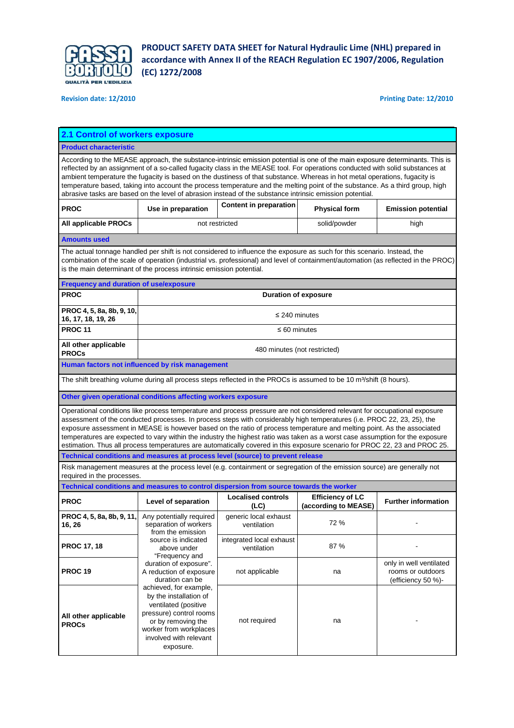

**Revision date: 12/2010 Printing Date: 12/2010**

| 2.1 Control of workers exposure                 |                                                                                                                                                                                                                                                                                                                                                                                                                                                                                                                                                                                                                                           |                                                                                                                                                                                                                                                                                                                                                                                                                                                                                                                                                                                                                                                |                                                 |                                                                    |  |  |  |  |
|-------------------------------------------------|-------------------------------------------------------------------------------------------------------------------------------------------------------------------------------------------------------------------------------------------------------------------------------------------------------------------------------------------------------------------------------------------------------------------------------------------------------------------------------------------------------------------------------------------------------------------------------------------------------------------------------------------|------------------------------------------------------------------------------------------------------------------------------------------------------------------------------------------------------------------------------------------------------------------------------------------------------------------------------------------------------------------------------------------------------------------------------------------------------------------------------------------------------------------------------------------------------------------------------------------------------------------------------------------------|-------------------------------------------------|--------------------------------------------------------------------|--|--|--|--|
| <b>Product characteristic</b>                   |                                                                                                                                                                                                                                                                                                                                                                                                                                                                                                                                                                                                                                           |                                                                                                                                                                                                                                                                                                                                                                                                                                                                                                                                                                                                                                                |                                                 |                                                                    |  |  |  |  |
|                                                 | According to the MEASE approach, the substance-intrinsic emission potential is one of the main exposure determinants. This is<br>reflected by an assignment of a so-called fugacity class in the MEASE tool. For operations conducted with solid substances at<br>ambient temperature the fugacity is based on the dustiness of that substance. Whereas in hot metal operations, fugacity is<br>temperature based, taking into account the process temperature and the melting point of the substance. As a third group, high<br>abrasive tasks are based on the level of abrasion instead of the substance intrinsic emission potential. |                                                                                                                                                                                                                                                                                                                                                                                                                                                                                                                                                                                                                                                |                                                 |                                                                    |  |  |  |  |
| <b>PROC</b>                                     | Use in preparation                                                                                                                                                                                                                                                                                                                                                                                                                                                                                                                                                                                                                        | <b>Content in preparation</b><br><b>Physical form</b><br><b>Emission potential</b>                                                                                                                                                                                                                                                                                                                                                                                                                                                                                                                                                             |                                                 |                                                                    |  |  |  |  |
| <b>All applicable PROCs</b>                     | not restricted                                                                                                                                                                                                                                                                                                                                                                                                                                                                                                                                                                                                                            |                                                                                                                                                                                                                                                                                                                                                                                                                                                                                                                                                                                                                                                | solid/powder                                    | high                                                               |  |  |  |  |
| <b>Amounts used</b>                             |                                                                                                                                                                                                                                                                                                                                                                                                                                                                                                                                                                                                                                           |                                                                                                                                                                                                                                                                                                                                                                                                                                                                                                                                                                                                                                                |                                                 |                                                                    |  |  |  |  |
|                                                 | is the main determinant of the process intrinsic emission potential.                                                                                                                                                                                                                                                                                                                                                                                                                                                                                                                                                                      | The actual tonnage handled per shift is not considered to influence the exposure as such for this scenario. Instead, the<br>combination of the scale of operation (industrial vs. professional) and level of containment/automation (as reflected in the PROC)                                                                                                                                                                                                                                                                                                                                                                                 |                                                 |                                                                    |  |  |  |  |
| <b>Frequency and duration of use/exposure</b>   |                                                                                                                                                                                                                                                                                                                                                                                                                                                                                                                                                                                                                                           |                                                                                                                                                                                                                                                                                                                                                                                                                                                                                                                                                                                                                                                |                                                 |                                                                    |  |  |  |  |
| <b>PROC</b>                                     |                                                                                                                                                                                                                                                                                                                                                                                                                                                                                                                                                                                                                                           | <b>Duration of exposure</b>                                                                                                                                                                                                                                                                                                                                                                                                                                                                                                                                                                                                                    |                                                 |                                                                    |  |  |  |  |
| PROC 4, 5, 8a, 8b, 9, 10,<br>16, 17, 18, 19, 26 |                                                                                                                                                                                                                                                                                                                                                                                                                                                                                                                                                                                                                                           | $\leq$ 240 minutes                                                                                                                                                                                                                                                                                                                                                                                                                                                                                                                                                                                                                             |                                                 |                                                                    |  |  |  |  |
| <b>PROC 11</b>                                  |                                                                                                                                                                                                                                                                                                                                                                                                                                                                                                                                                                                                                                           | $\leq 60$ minutes                                                                                                                                                                                                                                                                                                                                                                                                                                                                                                                                                                                                                              |                                                 |                                                                    |  |  |  |  |
| All other applicable<br><b>PROCs</b>            |                                                                                                                                                                                                                                                                                                                                                                                                                                                                                                                                                                                                                                           | 480 minutes (not restricted)                                                                                                                                                                                                                                                                                                                                                                                                                                                                                                                                                                                                                   |                                                 |                                                                    |  |  |  |  |
|                                                 | Human factors not influenced by risk management                                                                                                                                                                                                                                                                                                                                                                                                                                                                                                                                                                                           |                                                                                                                                                                                                                                                                                                                                                                                                                                                                                                                                                                                                                                                |                                                 |                                                                    |  |  |  |  |
|                                                 |                                                                                                                                                                                                                                                                                                                                                                                                                                                                                                                                                                                                                                           | The shift breathing volume during all process steps reflected in the PROCs is assumed to be 10 m <sup>3</sup> /shift (8 hours).                                                                                                                                                                                                                                                                                                                                                                                                                                                                                                                |                                                 |                                                                    |  |  |  |  |
|                                                 | Other given operational conditions affecting workers exposure                                                                                                                                                                                                                                                                                                                                                                                                                                                                                                                                                                             |                                                                                                                                                                                                                                                                                                                                                                                                                                                                                                                                                                                                                                                |                                                 |                                                                    |  |  |  |  |
|                                                 |                                                                                                                                                                                                                                                                                                                                                                                                                                                                                                                                                                                                                                           | Operational conditions like process temperature and process pressure are not considered relevant for occupational exposure<br>assessment of the conducted processes. In process steps with considerably high temperatures (i.e. PROC 22, 23, 25), the<br>exposure assessment in MEASE is however based on the ratio of process temperature and melting point. As the associated<br>temperatures are expected to vary within the industry the highest ratio was taken as a worst case assumption for the exposure<br>estimation. Thus all process temperatures are automatically covered in this exposure scenario for PROC 22, 23 and PROC 25. |                                                 |                                                                    |  |  |  |  |
|                                                 |                                                                                                                                                                                                                                                                                                                                                                                                                                                                                                                                                                                                                                           | Technical conditions and measures at process level (source) to prevent release                                                                                                                                                                                                                                                                                                                                                                                                                                                                                                                                                                 |                                                 |                                                                    |  |  |  |  |
| required in the processes.                      |                                                                                                                                                                                                                                                                                                                                                                                                                                                                                                                                                                                                                                           | Risk management measures at the process level (e.g. containment or segregation of the emission source) are generally not                                                                                                                                                                                                                                                                                                                                                                                                                                                                                                                       |                                                 |                                                                    |  |  |  |  |
|                                                 |                                                                                                                                                                                                                                                                                                                                                                                                                                                                                                                                                                                                                                           | Technical conditions and measures to control dispersion from source towards the worker                                                                                                                                                                                                                                                                                                                                                                                                                                                                                                                                                         |                                                 |                                                                    |  |  |  |  |
| <b>PROC</b>                                     | Level of separation                                                                                                                                                                                                                                                                                                                                                                                                                                                                                                                                                                                                                       | <b>Localised controls</b><br>(LC)                                                                                                                                                                                                                                                                                                                                                                                                                                                                                                                                                                                                              | <b>Efficiency of LC</b><br>(according to MEASE) | <b>Further information</b>                                         |  |  |  |  |
| PROC 4, 5, 8a, 8b, 9, 11,<br>16, 26             | Any potentially required<br>separation of workers<br>from the emission                                                                                                                                                                                                                                                                                                                                                                                                                                                                                                                                                                    | generic local exhaust<br>ventilation                                                                                                                                                                                                                                                                                                                                                                                                                                                                                                                                                                                                           | 72%                                             |                                                                    |  |  |  |  |
| <b>PROC 17, 18</b>                              | source is indicated<br>above under<br>"Frequency and                                                                                                                                                                                                                                                                                                                                                                                                                                                                                                                                                                                      | integrated local exhaust<br>ventilation                                                                                                                                                                                                                                                                                                                                                                                                                                                                                                                                                                                                        | 87%                                             |                                                                    |  |  |  |  |
| <b>PROC 19</b>                                  | duration of exposure".<br>A reduction of exposure<br>duration can be                                                                                                                                                                                                                                                                                                                                                                                                                                                                                                                                                                      | not applicable                                                                                                                                                                                                                                                                                                                                                                                                                                                                                                                                                                                                                                 | na                                              | only in well ventilated<br>rooms or outdoors<br>(efficiency 50 %)- |  |  |  |  |
| All other applicable<br><b>PROCs</b>            | achieved, for example,<br>by the installation of<br>ventilated (positive<br>pressure) control rooms<br>or by removing the<br>worker from workplaces<br>involved with relevant<br>exposure.                                                                                                                                                                                                                                                                                                                                                                                                                                                | not required                                                                                                                                                                                                                                                                                                                                                                                                                                                                                                                                                                                                                                   | na                                              |                                                                    |  |  |  |  |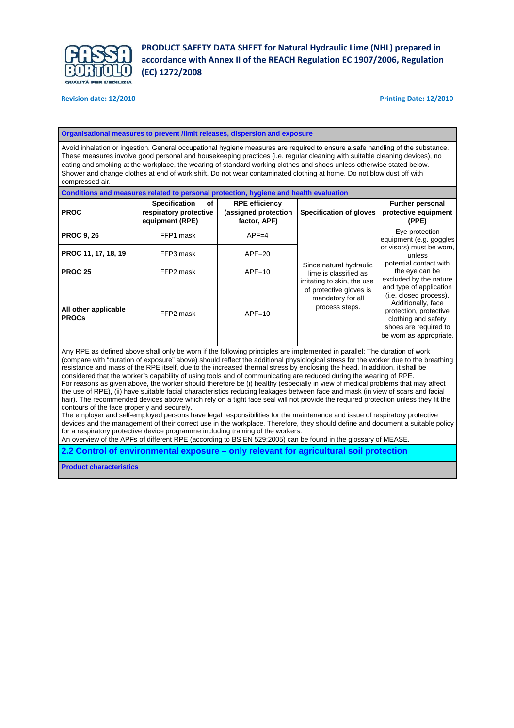

#### **Revision date: 12/2010 Printing Date: 12/2010**

#### **Organisational measures to prevent /limit releases, dispersion and exposure**

Avoid inhalation or ingestion. General occupational hygiene measures are required to ensure a safe handling of the substance. These measures involve good personal and housekeeping practices (i.e. regular cleaning with suitable cleaning devices), no eating and smoking at the workplace, the wearing of standard working clothes and shoes unless otherwise stated below. Shower and change clothes at end of work shift. Do not wear contaminated clothing at home. Do not blow dust off with compressed air.

| Conditions and measures related to personal protection, hygiene and health evaluation |                                                                                                                                                                                                                                                                 |                                                               |                                                                                                                                                                                             |                                                                                                                                                                              |  |  |  |
|---------------------------------------------------------------------------------------|-----------------------------------------------------------------------------------------------------------------------------------------------------------------------------------------------------------------------------------------------------------------|---------------------------------------------------------------|---------------------------------------------------------------------------------------------------------------------------------------------------------------------------------------------|------------------------------------------------------------------------------------------------------------------------------------------------------------------------------|--|--|--|
| <b>PROC</b>                                                                           | <b>Specification</b><br>οf<br>respiratory protective<br>equipment (RPE)                                                                                                                                                                                         | <b>RPE efficiency</b><br>(assigned protection<br>factor, APF) | <b>Specification of gloves</b>                                                                                                                                                              | <b>Further personal</b><br>protective equipment<br>(PPE)                                                                                                                     |  |  |  |
| <b>PROC 9, 26</b>                                                                     | FFP1 mask                                                                                                                                                                                                                                                       | $APF=4$                                                       |                                                                                                                                                                                             | Eye protection<br>equipment (e.g. goggles                                                                                                                                    |  |  |  |
| PROC 11, 17, 18, 19                                                                   | FFP3 mask                                                                                                                                                                                                                                                       | $APF = 20$                                                    | or visors) must be worn,<br>unless<br>potential contact with<br>Since natural hydraulic<br>the eye can be<br>lime is classified as<br>excluded by the nature<br>irritating to skin, the use |                                                                                                                                                                              |  |  |  |
| <b>PROC 25</b>                                                                        | FFP2 mask                                                                                                                                                                                                                                                       | $APF=10$                                                      |                                                                                                                                                                                             |                                                                                                                                                                              |  |  |  |
| All other applicable<br><b>PROCs</b>                                                  | FFP2 mask                                                                                                                                                                                                                                                       | $APF=10$                                                      | of protective gloves is<br>mandatory for all<br>process steps.                                                                                                                              | and type of application<br>(i.e. closed process).<br>Additionally, face<br>protection, protective<br>clothing and safety<br>shoes are required to<br>be worn as appropriate. |  |  |  |
|                                                                                       | Any RPE as defined above shall only be worn if the following principles are implemented in parallel: The duration of work<br>(compare with "duration of exposure" above) should reflect the additional physiological stress for the worker due to the breathing |                                                               |                                                                                                                                                                                             |                                                                                                                                                                              |  |  |  |

resistance and mass of the RPE itself, due to the increased thermal stress by enclosing the head. In addition, it shall be considered that the worker's capability of using tools and of communicating are reduced during the wearing of RPE. For reasons as given above, the worker should therefore be (i) healthy (especially in view of medical problems that may affect the use of RPE), (ii) have suitable facial characteristics reducing leakages between face and mask (in view of scars and facial hair). The recommended devices above which rely on a tight face seal will not provide the required protection unless they fit the contours of the face properly and securely.

The employer and self-employed persons have legal responsibilities for the maintenance and issue of respiratory protective devices and the management of their correct use in the workplace. Therefore, they should define and document a suitable policy for a respiratory protective device programme including training of the workers.

An overview of the APFs of different RPE (according to BS EN 529:2005) can be found in the glossary of MEASE.

**2.2 Control of environmental exposure – only relevant for agricultural soil protection** 

**Product characteristics**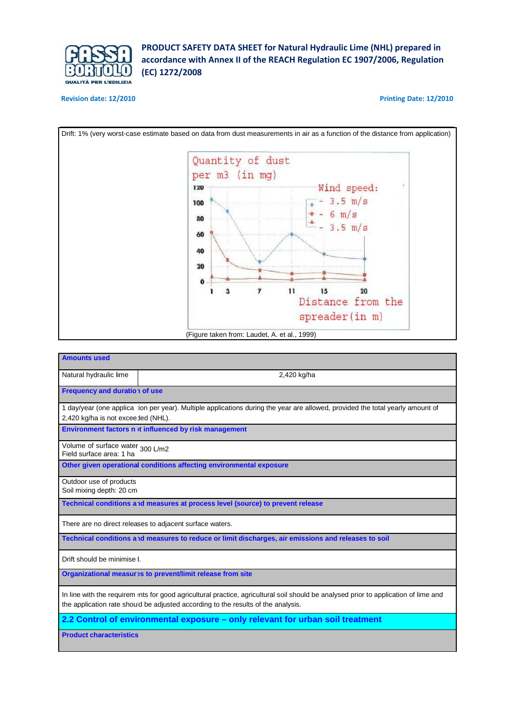

## **Revision date: 12/2010 Printing Date: 12/2010**



| <b>Amounts used</b>                                          |                                                                                                                                      |
|--------------------------------------------------------------|--------------------------------------------------------------------------------------------------------------------------------------|
| Natural hydraulic lime                                       | 2,420 kg/ha                                                                                                                          |
| <b>Frequency and duration of use</b>                         |                                                                                                                                      |
|                                                              | 1 day/year (one applica ion per year). Multiple applications during the year are allowed, provided the total yearly amount of        |
| 2,420 kg/ha is not excee ded (NHL).                          |                                                                                                                                      |
|                                                              | Environment factors n it influenced by risk management                                                                               |
| Volume of surface water 300 L/m2<br>Field surface area: 1 ha |                                                                                                                                      |
|                                                              | Other given operational conditions affecting environmental exposure                                                                  |
| Outdoor use of products                                      |                                                                                                                                      |
| Soil mixing depth: 20 cm                                     |                                                                                                                                      |
|                                                              | Technical conditions and measures at process level (source) to prevent release                                                       |
|                                                              | There are no direct releases to adjacent surface waters.                                                                             |
|                                                              | Technical conditions and measures to reduce or limit discharges, air emissions and releases to soil                                  |
| Drift should be minimise I.                                  |                                                                                                                                      |
|                                                              | Organizational measur > sto prevent/limit release from site                                                                          |
|                                                              | In line with the requirem ints for good agricultural practice, agricultural soil should be analysed prior to application of lime and |
|                                                              | the application rate shoud be adjusted according to the results of the analysis.                                                     |
|                                                              | 2.2 Control of environmental exposure - only relevant for urban soil treatment                                                       |
| <b>Product characteristics</b>                               |                                                                                                                                      |
|                                                              |                                                                                                                                      |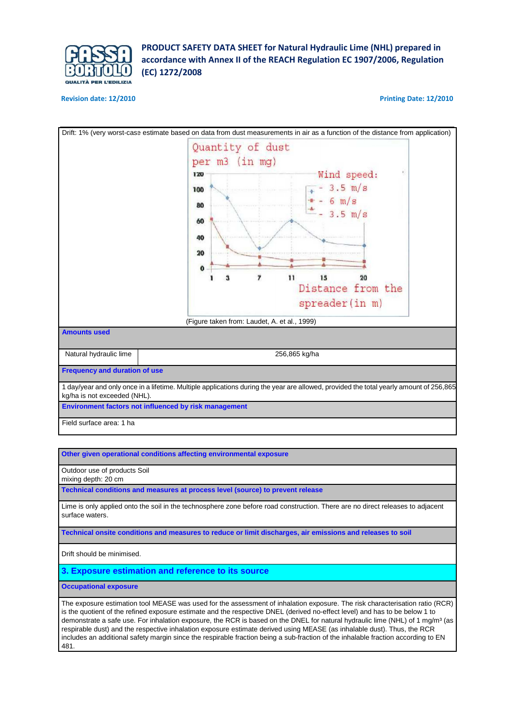

#### **Revision date: 12/2010 Printing Date: 12/2010**



**Other given operational conditions affecting environmental exposure** 

Outdoor use of products Soil

mixing depth: 20 cm

**Technical conditions and measures at process level (source) to prevent release** 

Lime is only applied onto the soil in the technosphere zone before road construction. There are no direct releases to adjacent surface waters.

**Technical onsite conditions and measures to reduce or limit discharges, air emissions and releases to soil** 

Drift should be minimised.

**3. Exposure estimation and reference to its source** 

**Occupational exposure** 

The exposure estimation tool MEASE was used for the assessment of inhalation exposure. The risk characterisation ratio (RCR) is the quotient of the refined exposure estimate and the respective DNEL (derived no-effect level) and has to be below 1 to demonstrate a safe use. For inhalation exposure, the RCR is based on the DNEL for natural hydraulic lime (NHL) of 1 mg/m<sup>3</sup> (as respirable dust) and the respective inhalation exposure estimate derived using MEASE (as inhalable dust). Thus, the RCR includes an additional safety margin since the respirable fraction being a sub-fraction of the inhalable fraction according to EN 481.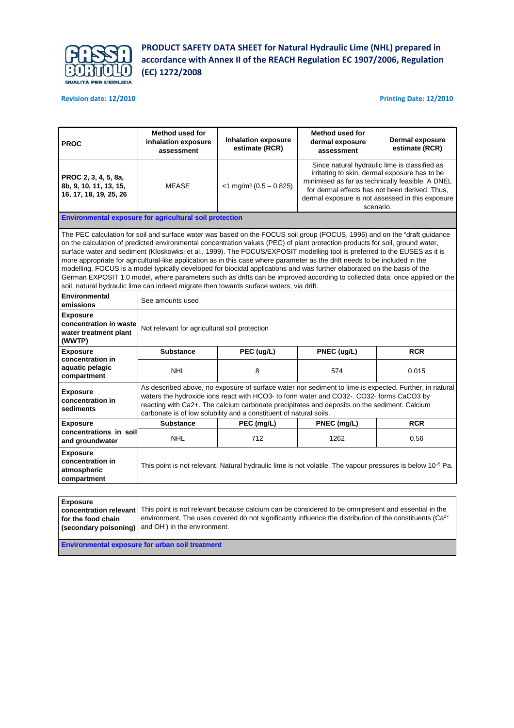

## **Revision date: 12/2010 Printing Date: 12/2010**

| <b>PROC</b>                                                                                                                                                                                                                                                                                                                                                                                                                                                                                                                                                                                                                                                                                                                                                                                                                                                                 | Method used for<br>inhalation exposure<br>assessment                                                                                                                                                                                                                                                                                                                     | <b>Inhalation exposure</b><br>estimate (RCR)                                                                    | Method used for<br>dermal exposure<br>assessment | <b>Dermal exposure</b><br>estimate (RCR) |  |  |  |  |
|-----------------------------------------------------------------------------------------------------------------------------------------------------------------------------------------------------------------------------------------------------------------------------------------------------------------------------------------------------------------------------------------------------------------------------------------------------------------------------------------------------------------------------------------------------------------------------------------------------------------------------------------------------------------------------------------------------------------------------------------------------------------------------------------------------------------------------------------------------------------------------|--------------------------------------------------------------------------------------------------------------------------------------------------------------------------------------------------------------------------------------------------------------------------------------------------------------------------------------------------------------------------|-----------------------------------------------------------------------------------------------------------------|--------------------------------------------------|------------------------------------------|--|--|--|--|
| PROC 2, 3, 4, 5, 8a,<br>8b, 9, 10, 11, 13, 15,<br>16, 17, 18, 19, 25, 26                                                                                                                                                                                                                                                                                                                                                                                                                                                                                                                                                                                                                                                                                                                                                                                                    | Since natural hydraulic lime is classified as<br>irritating to skin, dermal exposure has to be<br>minimised as far as technically feasible. A DNEL<br><b>MEASE</b><br>$<$ 1 mg/m <sup>3</sup> (0.5 – 0.825)<br>for dermal effects has not been derived. Thus,<br>dermal exposure is not assessed in this exposure<br>scenario.                                           |                                                                                                                 |                                                  |                                          |  |  |  |  |
|                                                                                                                                                                                                                                                                                                                                                                                                                                                                                                                                                                                                                                                                                                                                                                                                                                                                             | <b>Environmental exposure for agricultural soil protection</b>                                                                                                                                                                                                                                                                                                           |                                                                                                                 |                                                  |                                          |  |  |  |  |
| The PEC calculation for soil and surface water was based on the FOCUS soil group (FOCUS, 1996) and on the "draft guidance<br>on the calculation of predicted environmental concentration values (PEC) of plant protection products for soil, ground water,<br>surface water and sediment (Kloskowksi et al., 1999). The FOCUS/EXPOSIT modelling tool is preferred to the EUSES as it is<br>more appropriate for agricultural-like application as in this case where parameter as the drift needs to be included in the<br>modelling. FOCUS is a model typically developed for biocidal applications and was further elaborated on the basis of the<br>German EXPOSIT 1.0 model, where parameters such as drifts can be improved according to collected data: once applied on the<br>soil, natural hydraulic lime can indeed migrate then towards surface waters, via drift. |                                                                                                                                                                                                                                                                                                                                                                          |                                                                                                                 |                                                  |                                          |  |  |  |  |
| <b>Environmental</b><br>emissions                                                                                                                                                                                                                                                                                                                                                                                                                                                                                                                                                                                                                                                                                                                                                                                                                                           | See amounts used                                                                                                                                                                                                                                                                                                                                                         |                                                                                                                 |                                                  |                                          |  |  |  |  |
| <b>Exposure</b><br>concentration in waste<br>water treatment plant<br>(WWTP)                                                                                                                                                                                                                                                                                                                                                                                                                                                                                                                                                                                                                                                                                                                                                                                                | Not relevant for agricultural soil protection                                                                                                                                                                                                                                                                                                                            |                                                                                                                 |                                                  |                                          |  |  |  |  |
| <b>Exposure</b>                                                                                                                                                                                                                                                                                                                                                                                                                                                                                                                                                                                                                                                                                                                                                                                                                                                             | <b>Substance</b>                                                                                                                                                                                                                                                                                                                                                         | PEC (ug/L)                                                                                                      | PNEC (ug/L)                                      | <b>RCR</b>                               |  |  |  |  |
| concentration in<br>aquatic pelagic<br>compartment                                                                                                                                                                                                                                                                                                                                                                                                                                                                                                                                                                                                                                                                                                                                                                                                                          | <b>NHL</b>                                                                                                                                                                                                                                                                                                                                                               | 8                                                                                                               | 574                                              | 0.015                                    |  |  |  |  |
| <b>Exposure</b><br>concentration in<br>sediments                                                                                                                                                                                                                                                                                                                                                                                                                                                                                                                                                                                                                                                                                                                                                                                                                            | As described above, no exposure of surface water nor sediment to lime is expected. Further, in natural<br>waters the hydroxide ions react with HCO3- to form water and CO32-. CO32- forms CaCO3 by<br>reacting with Ca2+. The calcium carbonate precipitates and deposits on the sediment. Calcium<br>carbonate is of low solubility and a constituent of natural soils. |                                                                                                                 |                                                  |                                          |  |  |  |  |
| <b>Exposure</b>                                                                                                                                                                                                                                                                                                                                                                                                                                                                                                                                                                                                                                                                                                                                                                                                                                                             | <b>Substance</b>                                                                                                                                                                                                                                                                                                                                                         | PEC (mg/L)                                                                                                      | PNEC (mg/L)                                      | <b>RCR</b>                               |  |  |  |  |
| concentrations in soil<br>and groundwater                                                                                                                                                                                                                                                                                                                                                                                                                                                                                                                                                                                                                                                                                                                                                                                                                                   | NHL.                                                                                                                                                                                                                                                                                                                                                                     | 712                                                                                                             | 1262                                             | 0.56                                     |  |  |  |  |
| <b>Exposure</b><br>concentration in<br>atmospheric<br>compartment                                                                                                                                                                                                                                                                                                                                                                                                                                                                                                                                                                                                                                                                                                                                                                                                           |                                                                                                                                                                                                                                                                                                                                                                          | This point is not relevant. Natural hydraulic lime is not volatile. The vapour pressures is below $10^{-5}$ Pa. |                                                  |                                          |  |  |  |  |
|                                                                                                                                                                                                                                                                                                                                                                                                                                                                                                                                                                                                                                                                                                                                                                                                                                                                             |                                                                                                                                                                                                                                                                                                                                                                          |                                                                                                                 |                                                  |                                          |  |  |  |  |

| <b>Exposure</b>    |                                                                                                                              |
|--------------------|------------------------------------------------------------------------------------------------------------------------------|
|                    | concentration relevant   This point is not relevant because calcium can be considered to be omnipresent and essential in the |
| for the food chain | environment. The uses covered do not significantly influence the distribution of the constituents $(Ca^{2+}$                 |
|                    | (secondary poisoning) and OH ) in the environment.                                                                           |
|                    |                                                                                                                              |

**Environmental exposure for urban soil treatment**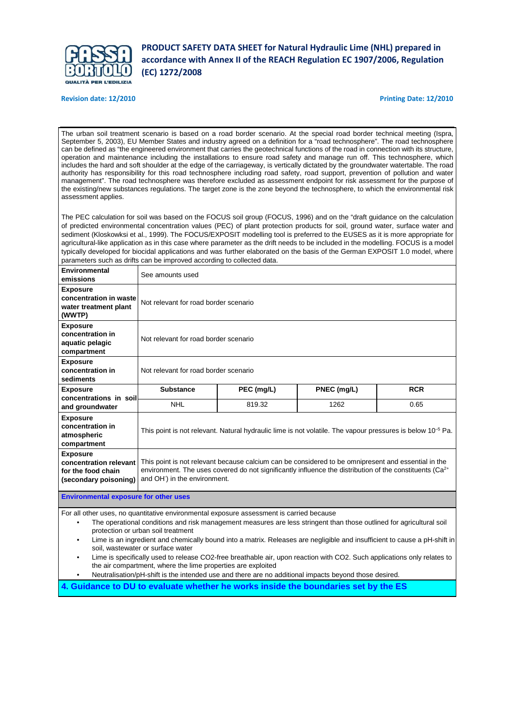

**Revision date: 12/2010 Printing Date: 12/2010**

The urban soil treatment scenario is based on a road border scenario. At the special road border technical meeting (Ispra, September 5, 2003), EU Member States and industry agreed on a definition for a "road technosphere". The road technosphere can be defined as "the engineered environment that carries the geotechnical functions of the road in connection with its structure, operation and maintenance including the installations to ensure road safety and manage run off. This technosphere, which includes the hard and soft shoulder at the edge of the carriageway, is vertically dictated by the groundwater watertable. The road authority has responsibility for this road technosphere including road safety, road support, prevention of pollution and water management". The road technosphere was therefore excluded as assessment endpoint for risk assessment for the purpose of the existing/new substances regulations. The target zone is the zone beyond the technosphere, to which the environmental risk assessment applies.

The PEC calculation for soil was based on the FOCUS soil group (FOCUS, 1996) and on the "draft guidance on the calculation of predicted environmental concentration values (PEC) of plant protection products for soil, ground water, surface water and sediment (Kloskowksi et al., 1999). The FOCUS/EXPOSIT modelling tool is preferred to the EUSES as it is more appropriate for agricultural-like application as in this case where parameter as the drift needs to be included in the modelling. FOCUS is a model typically developed for biocidal applications and was further elaborated on the basis of the German EXPOSIT 1.0 model, where parameters such as drifts can be improved according to collected data.

| Environmental<br>emissions                                                                                                                                                                                                                                                                                                                                                                                                                 | See amounts used                                                                                                                                                                                                                                                        |                                                                                                                 |             |            |  |  |  |  |
|--------------------------------------------------------------------------------------------------------------------------------------------------------------------------------------------------------------------------------------------------------------------------------------------------------------------------------------------------------------------------------------------------------------------------------------------|-------------------------------------------------------------------------------------------------------------------------------------------------------------------------------------------------------------------------------------------------------------------------|-----------------------------------------------------------------------------------------------------------------|-------------|------------|--|--|--|--|
| <b>Exposure</b><br>concentration in waste<br>water treatment plant<br>(WWTP)                                                                                                                                                                                                                                                                                                                                                               | Not relevant for road border scenario                                                                                                                                                                                                                                   |                                                                                                                 |             |            |  |  |  |  |
| <b>Exposure</b><br>concentration in<br>aquatic pelagic<br>compartment                                                                                                                                                                                                                                                                                                                                                                      |                                                                                                                                                                                                                                                                         | Not relevant for road border scenario                                                                           |             |            |  |  |  |  |
| <b>Exposure</b><br>concentration in<br>sediments                                                                                                                                                                                                                                                                                                                                                                                           |                                                                                                                                                                                                                                                                         | Not relevant for road border scenario                                                                           |             |            |  |  |  |  |
| <b>Exposure</b><br>concentrations in soil                                                                                                                                                                                                                                                                                                                                                                                                  | <b>Substance</b>                                                                                                                                                                                                                                                        | PEC (mg/L)                                                                                                      | PNEC (mg/L) | <b>RCR</b> |  |  |  |  |
| and groundwater                                                                                                                                                                                                                                                                                                                                                                                                                            | <b>NHL</b>                                                                                                                                                                                                                                                              | 1262                                                                                                            | 0.65        |            |  |  |  |  |
| <b>Exposure</b><br>concentration in<br>atmospheric<br>compartment                                                                                                                                                                                                                                                                                                                                                                          |                                                                                                                                                                                                                                                                         | This point is not relevant. Natural hydraulic lime is not volatile. The vapour pressures is below $10^{-5}$ Pa. |             |            |  |  |  |  |
| <b>Exposure</b><br>concentration relevant<br>for the food chain<br>(secondary poisoning)                                                                                                                                                                                                                                                                                                                                                   | This point is not relevant because calcium can be considered to be omnipresent and essential in the<br>environment. The uses covered do not significantly influence the distribution of the constituents (Ca <sup>2+</sup><br>and OH <sup>-</sup> ) in the environment. |                                                                                                                 |             |            |  |  |  |  |
| <b>Environmental exposure for other uses</b>                                                                                                                                                                                                                                                                                                                                                                                               |                                                                                                                                                                                                                                                                         |                                                                                                                 |             |            |  |  |  |  |
| For all other uses, no quantitative environmental exposure assessment is carried because<br>The operational conditions and risk management measures are less stringent than those outlined for agricultural soil<br>٠<br>protection or urban soil treatment<br>Lime is an ingredient and chemically bound into a matrix. Releases are negligible and insufficient to cause a pH-shift in<br>$\bullet$<br>soil, wastewater or surface water |                                                                                                                                                                                                                                                                         |                                                                                                                 |             |            |  |  |  |  |

• Lime is specifically used to release CO2-free breathable air, upon reaction with CO2. Such applications only relates to the air compartment, where the lime properties are exploited

• Neutralisation/pH-shift is the intended use and there are no additional impacts beyond those desired.

**4. Guidance to DU to evaluate whether he works inside the boundaries set by the ES**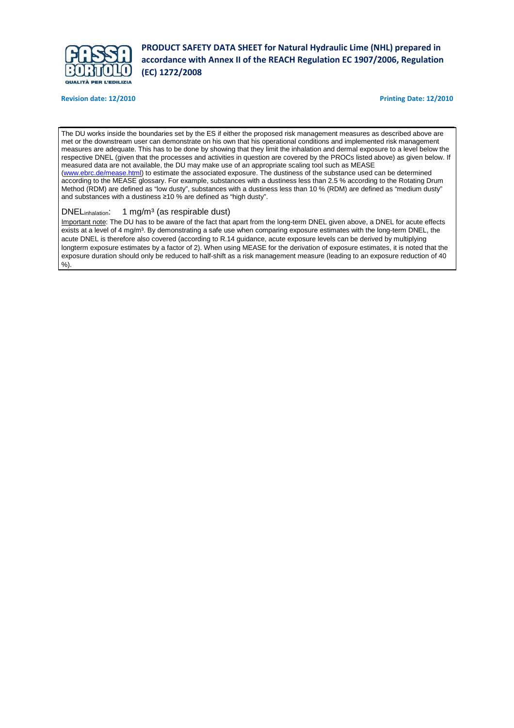

**Revision date: 12/2010 Printing Date: 12/2010**

I

The DU works inside the boundaries set by the ES if either the proposed risk management measures as described above are met or the downstream user can demonstrate on his own that his operational conditions and implemented risk management measures are adequate. This has to be done by showing that they limit the inhalation and dermal exposure to a level below the respective DNEL (given that the processes and activities in question are covered by the PROCs listed above) as given below. If measured data are not available, the DU may make use of an appropriate scaling tool such as MEASE (www.ebrc.de/mease.html) to estimate the associated exposure. The dustiness of the substance used can be determined according to the MEASE glossary. For example, substances with a dustiness less than 2.5 % according to the Rotating Drum Method (RDM) are defined as "low dusty", substances with a dustiness less than 10 % (RDM) are defined as "medium dusty" and substances with a dustiness ≥10 % are defined as "high dusty".

## DNEL<sub>inhalation</sub>: 1 mg/m<sup>3</sup> (as respirable dust)

Important note: The DU has to be aware of the fact that apart from the long-term DNEL given above, a DNEL for acute effects exists at a level of 4 mg/m<sup>3</sup>. By demonstrating a safe use when comparing exposure estimates with the long-term DNEL, the acute DNEL is therefore also covered (according to R.14 guidance, acute exposure levels can be derived by multiplying longterm exposure estimates by a factor of 2). When using MEASE for the derivation of exposure estimates, it is noted that the exposure duration should only be reduced to half-shift as a risk management measure (leading to an exposure reduction of 40 %).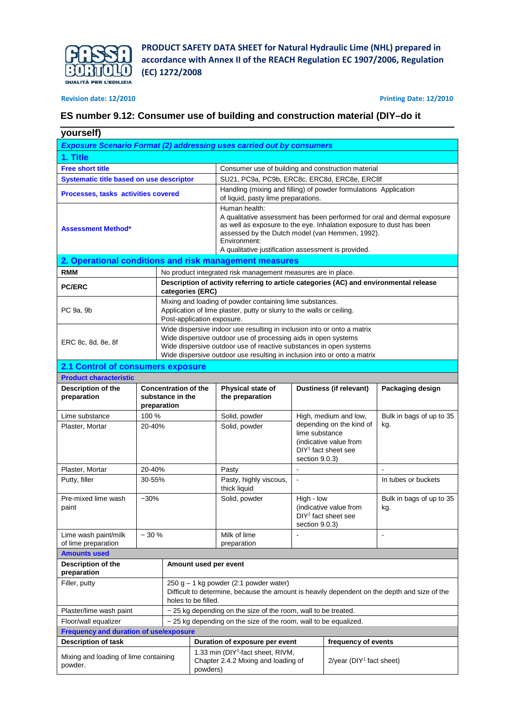

## **Revision date: 12/2010 Printing Date: 12/2010**

## **ES number 9.12: Consumer use of building and construction material (DIY–do it**

| yourself)                                        |                                                                              |                                                                                                                                                                 |                                                                                                                                                                                                                                                                                             |                                                                                                                                                                                                                                                                                             |                                  |                                                                            |                                         |  |
|--------------------------------------------------|------------------------------------------------------------------------------|-----------------------------------------------------------------------------------------------------------------------------------------------------------------|---------------------------------------------------------------------------------------------------------------------------------------------------------------------------------------------------------------------------------------------------------------------------------------------|---------------------------------------------------------------------------------------------------------------------------------------------------------------------------------------------------------------------------------------------------------------------------------------------|----------------------------------|----------------------------------------------------------------------------|-----------------------------------------|--|
|                                                  | <b>Exposure Scenario Format (2) addressing uses carried out by consumers</b> |                                                                                                                                                                 |                                                                                                                                                                                                                                                                                             |                                                                                                                                                                                                                                                                                             |                                  |                                                                            |                                         |  |
| 1. Title                                         |                                                                              |                                                                                                                                                                 |                                                                                                                                                                                                                                                                                             |                                                                                                                                                                                                                                                                                             |                                  |                                                                            |                                         |  |
| <b>Free short title</b>                          |                                                                              |                                                                                                                                                                 |                                                                                                                                                                                                                                                                                             | Consumer use of building and construction material                                                                                                                                                                                                                                          |                                  |                                                                            |                                         |  |
| Systematic title based on use descriptor         |                                                                              |                                                                                                                                                                 |                                                                                                                                                                                                                                                                                             | SU21, PC9a, PC9b, ERC8c, ERC8d, ERC8e, ERC8f                                                                                                                                                                                                                                                |                                  |                                                                            |                                         |  |
| Processes, tasks activities covered              |                                                                              |                                                                                                                                                                 |                                                                                                                                                                                                                                                                                             | Handling (mixing and filling) of powder formulations Application<br>of liquid, pasty lime preparations.                                                                                                                                                                                     |                                  |                                                                            |                                         |  |
| <b>Assessment Method*</b>                        |                                                                              |                                                                                                                                                                 | Human health:<br>A qualitative assessment has been performed for oral and dermal exposure<br>as well as exposure to the eye. Inhalation exposure to dust has been<br>assessed by the Dutch model (van Hemmen, 1992).<br>Environment:<br>A qualitative justification assessment is provided. |                                                                                                                                                                                                                                                                                             |                                  |                                                                            |                                         |  |
|                                                  |                                                                              |                                                                                                                                                                 |                                                                                                                                                                                                                                                                                             | 2. Operational conditions and risk management measures                                                                                                                                                                                                                                      |                                  |                                                                            |                                         |  |
| <b>RMM</b>                                       |                                                                              |                                                                                                                                                                 |                                                                                                                                                                                                                                                                                             | No product integrated risk management measures are in place.                                                                                                                                                                                                                                |                                  |                                                                            |                                         |  |
| <b>PC/ERC</b>                                    |                                                                              | categories (ERC)                                                                                                                                                |                                                                                                                                                                                                                                                                                             | Description of activity referring to article categories (AC) and environmental release                                                                                                                                                                                                      |                                  |                                                                            |                                         |  |
| PC 9a, 9b                                        |                                                                              | Post-application exposure.                                                                                                                                      |                                                                                                                                                                                                                                                                                             | Mixing and loading of powder containing lime substances.<br>Application of lime plaster, putty or slurry to the walls or ceiling.                                                                                                                                                           |                                  |                                                                            |                                         |  |
| ERC 8c, 8d, 8e, 8f                               |                                                                              |                                                                                                                                                                 |                                                                                                                                                                                                                                                                                             | Wide dispersive indoor use resulting in inclusion into or onto a matrix<br>Wide dispersive outdoor use of processing aids in open systems<br>Wide dispersive outdoor use of reactive substances in open systems<br>Wide dispersive outdoor use resulting in inclusion into or onto a matrix |                                  |                                                                            |                                         |  |
| 2.1 Control of consumers exposure                |                                                                              |                                                                                                                                                                 |                                                                                                                                                                                                                                                                                             |                                                                                                                                                                                                                                                                                             |                                  |                                                                            |                                         |  |
| <b>Product characteristic</b>                    |                                                                              |                                                                                                                                                                 |                                                                                                                                                                                                                                                                                             |                                                                                                                                                                                                                                                                                             |                                  |                                                                            |                                         |  |
| Description of the<br>preparation                |                                                                              | <b>Concentration of the</b><br>substance in the<br>preparation                                                                                                  |                                                                                                                                                                                                                                                                                             | Physical state of<br>the preparation                                                                                                                                                                                                                                                        |                                  | Dustiness (if relevant)                                                    | Packaging design                        |  |
| Lime substance                                   | 100 %                                                                        |                                                                                                                                                                 |                                                                                                                                                                                                                                                                                             | Solid, powder                                                                                                                                                                                                                                                                               | High, medium and low,            |                                                                            | Bulk in bags of up to 35                |  |
| Plaster, Mortar                                  | 20-40%                                                                       |                                                                                                                                                                 |                                                                                                                                                                                                                                                                                             | Solid, powder                                                                                                                                                                                                                                                                               | lime substance<br>section 9.0.3) | depending on the kind of<br>(indicative value from<br>$DY1$ fact sheet see | kg.                                     |  |
| Plaster, Mortar                                  | 20-40%                                                                       |                                                                                                                                                                 |                                                                                                                                                                                                                                                                                             | Pasty                                                                                                                                                                                                                                                                                       | $\mathbf{r}$                     |                                                                            | $\sim$                                  |  |
| Putty, filler                                    | 30-55%                                                                       |                                                                                                                                                                 |                                                                                                                                                                                                                                                                                             | Pasty, highly viscous,<br>thick liquid                                                                                                                                                                                                                                                      | $\blacksquare$                   |                                                                            | In tubes or buckets                     |  |
| Pre-mixed lime wash<br>paint                     | $-30%$                                                                       |                                                                                                                                                                 |                                                                                                                                                                                                                                                                                             | Solid, powder                                                                                                                                                                                                                                                                               | High - low<br>section 9.0.3)     | (indicative value from<br>DIY <sup>1</sup> fact sheet see                  | Bulk in bags of up to 35<br>kg.         |  |
| Lime wash paint/milk<br>of lime preparation      | $~10\%$                                                                      |                                                                                                                                                                 |                                                                                                                                                                                                                                                                                             | Milk of lime<br>preparation                                                                                                                                                                                                                                                                 |                                  |                                                                            | $\blacksquare$                          |  |
| <b>Amounts used</b>                              |                                                                              |                                                                                                                                                                 |                                                                                                                                                                                                                                                                                             |                                                                                                                                                                                                                                                                                             |                                  |                                                                            |                                         |  |
| Description of the<br>preparation                |                                                                              |                                                                                                                                                                 |                                                                                                                                                                                                                                                                                             | Amount used per event                                                                                                                                                                                                                                                                       |                                  |                                                                            |                                         |  |
| Filler, putty                                    |                                                                              | $250 g - 1 kg$ powder (2:1 powder water)<br>Difficult to determine, because the amount is heavily dependent on the depth and size of the<br>holes to be filled. |                                                                                                                                                                                                                                                                                             |                                                                                                                                                                                                                                                                                             |                                  |                                                                            |                                         |  |
| Plaster/lime wash paint                          |                                                                              |                                                                                                                                                                 |                                                                                                                                                                                                                                                                                             | ~ 25 kg depending on the size of the room, wall to be treated.                                                                                                                                                                                                                              |                                  |                                                                            |                                         |  |
| Floor/wall equalizer                             |                                                                              |                                                                                                                                                                 |                                                                                                                                                                                                                                                                                             | $\sim$ 25 kg depending on the size of the room, wall to be equalized.                                                                                                                                                                                                                       |                                  |                                                                            |                                         |  |
| <b>Frequency and duration of use/exposure</b>    |                                                                              |                                                                                                                                                                 |                                                                                                                                                                                                                                                                                             |                                                                                                                                                                                                                                                                                             |                                  |                                                                            |                                         |  |
| <b>Description of task</b>                       |                                                                              |                                                                                                                                                                 |                                                                                                                                                                                                                                                                                             | Duration of exposure per event                                                                                                                                                                                                                                                              |                                  | frequency of events                                                        |                                         |  |
| Mixing and loading of lime containing<br>powder. |                                                                              |                                                                                                                                                                 | 1.33 min (DIY <sup>1</sup> -fact sheet, RIVM,<br>Chapter 2.4.2 Mixing and loading of<br>powders)                                                                                                                                                                                            |                                                                                                                                                                                                                                                                                             |                                  |                                                                            | $2$ /year (DIY <sup>1</sup> fact sheet) |  |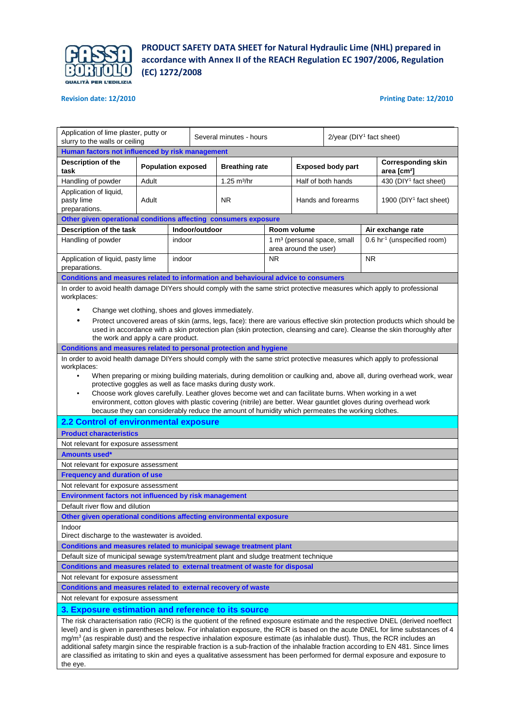

## **Revision date: 12/2010 Printing Date: 12/2010**

| Application of lime plaster, putty or<br>slurry to the walls or ceiling                                                                                                                                                                                                                                                                                                                                                                                                                                                                                                                                                                                                                                                                     |                                                                                                                                                                                                                                                                                                                                                                                                                                                                              |        | Several minutes - hours |                                                                                                                                                                                                                                                                            |           | $2$ /year (DIY <sup>1</sup> fact sheet)                          |                    |                                    |                                                                                                                  |  |
|---------------------------------------------------------------------------------------------------------------------------------------------------------------------------------------------------------------------------------------------------------------------------------------------------------------------------------------------------------------------------------------------------------------------------------------------------------------------------------------------------------------------------------------------------------------------------------------------------------------------------------------------------------------------------------------------------------------------------------------------|------------------------------------------------------------------------------------------------------------------------------------------------------------------------------------------------------------------------------------------------------------------------------------------------------------------------------------------------------------------------------------------------------------------------------------------------------------------------------|--------|-------------------------|----------------------------------------------------------------------------------------------------------------------------------------------------------------------------------------------------------------------------------------------------------------------------|-----------|------------------------------------------------------------------|--------------------|------------------------------------|------------------------------------------------------------------------------------------------------------------|--|
| Human factors not influenced by risk management                                                                                                                                                                                                                                                                                                                                                                                                                                                                                                                                                                                                                                                                                             |                                                                                                                                                                                                                                                                                                                                                                                                                                                                              |        |                         |                                                                                                                                                                                                                                                                            |           |                                                                  |                    |                                    |                                                                                                                  |  |
| Description of the<br>task                                                                                                                                                                                                                                                                                                                                                                                                                                                                                                                                                                                                                                                                                                                  | <b>Population exposed</b>                                                                                                                                                                                                                                                                                                                                                                                                                                                    |        |                         | <b>Breathing rate</b>                                                                                                                                                                                                                                                      |           | <b>Exposed body part</b>                                         |                    |                                    | <b>Corresponding skin</b><br>area [cm <sup>2</sup> ]                                                             |  |
| Handling of powder                                                                                                                                                                                                                                                                                                                                                                                                                                                                                                                                                                                                                                                                                                                          | Adult                                                                                                                                                                                                                                                                                                                                                                                                                                                                        |        |                         | $1.25 \text{ m}^3/\text{hr}$                                                                                                                                                                                                                                               |           |                                                                  | Half of both hands |                                    | 430 (DIY <sup>1</sup> fact sheet)                                                                                |  |
| Application of liquid,<br>pasty lime<br>preparations.                                                                                                                                                                                                                                                                                                                                                                                                                                                                                                                                                                                                                                                                                       | Adult                                                                                                                                                                                                                                                                                                                                                                                                                                                                        |        |                         | <b>NR</b>                                                                                                                                                                                                                                                                  |           |                                                                  | Hands and forearms | 1900 (DIY <sup>1</sup> fact sheet) |                                                                                                                  |  |
| Other given operational conditions affecting consumers exposure                                                                                                                                                                                                                                                                                                                                                                                                                                                                                                                                                                                                                                                                             |                                                                                                                                                                                                                                                                                                                                                                                                                                                                              |        |                         |                                                                                                                                                                                                                                                                            |           |                                                                  |                    |                                    |                                                                                                                  |  |
| Description of the task                                                                                                                                                                                                                                                                                                                                                                                                                                                                                                                                                                                                                                                                                                                     |                                                                                                                                                                                                                                                                                                                                                                                                                                                                              |        | Indoor/outdoor          |                                                                                                                                                                                                                                                                            |           | Room volume                                                      |                    |                                    | Air exchange rate                                                                                                |  |
| Handling of powder                                                                                                                                                                                                                                                                                                                                                                                                                                                                                                                                                                                                                                                                                                                          |                                                                                                                                                                                                                                                                                                                                                                                                                                                                              | indoor |                         |                                                                                                                                                                                                                                                                            |           | 1 m <sup>3</sup> (personal space, small<br>area around the user) |                    |                                    | 0.6 hr <sup>-1</sup> (unspecified room)                                                                          |  |
| Application of liquid, pasty lime<br>preparations.                                                                                                                                                                                                                                                                                                                                                                                                                                                                                                                                                                                                                                                                                          |                                                                                                                                                                                                                                                                                                                                                                                                                                                                              | indoor |                         |                                                                                                                                                                                                                                                                            | <b>NR</b> |                                                                  |                    | NR.                                |                                                                                                                  |  |
| Conditions and measures related to information and behavioural advice to consumers                                                                                                                                                                                                                                                                                                                                                                                                                                                                                                                                                                                                                                                          |                                                                                                                                                                                                                                                                                                                                                                                                                                                                              |        |                         |                                                                                                                                                                                                                                                                            |           |                                                                  |                    |                                    |                                                                                                                  |  |
| workplaces:                                                                                                                                                                                                                                                                                                                                                                                                                                                                                                                                                                                                                                                                                                                                 | In order to avoid health damage DIYers should comply with the same strict protective measures which apply to professional<br>Change wet clothing, shoes and gloves immediately.<br>Protect uncovered areas of skin (arms, legs, face): there are various effective skin protection products which should be<br>used in accordance with a skin protection plan (skin protection, cleansing and care). Cleanse the skin thoroughly after<br>the work and apply a care product. |        |                         |                                                                                                                                                                                                                                                                            |           |                                                                  |                    |                                    |                                                                                                                  |  |
| Conditions and measures related to personal protection and hygiene<br>In order to avoid health damage DIYers should comply with the same strict protective measures which apply to professional                                                                                                                                                                                                                                                                                                                                                                                                                                                                                                                                             |                                                                                                                                                                                                                                                                                                                                                                                                                                                                              |        |                         |                                                                                                                                                                                                                                                                            |           |                                                                  |                    |                                    |                                                                                                                  |  |
| ٠<br>2.2 Control of environmental exposure                                                                                                                                                                                                                                                                                                                                                                                                                                                                                                                                                                                                                                                                                                  |                                                                                                                                                                                                                                                                                                                                                                                                                                                                              |        |                         | protective goggles as well as face masks during dusty work.<br>Choose work gloves carefully. Leather gloves become wet and can facilitate burns. When working in a wet<br>because they can considerably reduce the amount of humidity which permeates the working clothes. |           |                                                                  |                    |                                    | environment, cotton gloves with plastic covering (nitrile) are better. Wear gauntlet gloves during overhead work |  |
| <b>Product characteristics</b>                                                                                                                                                                                                                                                                                                                                                                                                                                                                                                                                                                                                                                                                                                              |                                                                                                                                                                                                                                                                                                                                                                                                                                                                              |        |                         |                                                                                                                                                                                                                                                                            |           |                                                                  |                    |                                    |                                                                                                                  |  |
| Not relevant for exposure assessment                                                                                                                                                                                                                                                                                                                                                                                                                                                                                                                                                                                                                                                                                                        |                                                                                                                                                                                                                                                                                                                                                                                                                                                                              |        |                         |                                                                                                                                                                                                                                                                            |           |                                                                  |                    |                                    |                                                                                                                  |  |
| <b>Amounts used*</b>                                                                                                                                                                                                                                                                                                                                                                                                                                                                                                                                                                                                                                                                                                                        |                                                                                                                                                                                                                                                                                                                                                                                                                                                                              |        |                         |                                                                                                                                                                                                                                                                            |           |                                                                  |                    |                                    |                                                                                                                  |  |
| Not relevant for exposure assessment                                                                                                                                                                                                                                                                                                                                                                                                                                                                                                                                                                                                                                                                                                        |                                                                                                                                                                                                                                                                                                                                                                                                                                                                              |        |                         |                                                                                                                                                                                                                                                                            |           |                                                                  |                    |                                    |                                                                                                                  |  |
| <b>Frequency and duration of use</b>                                                                                                                                                                                                                                                                                                                                                                                                                                                                                                                                                                                                                                                                                                        |                                                                                                                                                                                                                                                                                                                                                                                                                                                                              |        |                         |                                                                                                                                                                                                                                                                            |           |                                                                  |                    |                                    |                                                                                                                  |  |
| Not relevant for exposure assessment                                                                                                                                                                                                                                                                                                                                                                                                                                                                                                                                                                                                                                                                                                        |                                                                                                                                                                                                                                                                                                                                                                                                                                                                              |        |                         |                                                                                                                                                                                                                                                                            |           |                                                                  |                    |                                    |                                                                                                                  |  |
| Environment factors not influenced by risk management                                                                                                                                                                                                                                                                                                                                                                                                                                                                                                                                                                                                                                                                                       |                                                                                                                                                                                                                                                                                                                                                                                                                                                                              |        |                         |                                                                                                                                                                                                                                                                            |           |                                                                  |                    |                                    |                                                                                                                  |  |
| Default river flow and dilution                                                                                                                                                                                                                                                                                                                                                                                                                                                                                                                                                                                                                                                                                                             |                                                                                                                                                                                                                                                                                                                                                                                                                                                                              |        |                         |                                                                                                                                                                                                                                                                            |           |                                                                  |                    |                                    |                                                                                                                  |  |
| Other given operational conditions affecting environmental exposure                                                                                                                                                                                                                                                                                                                                                                                                                                                                                                                                                                                                                                                                         |                                                                                                                                                                                                                                                                                                                                                                                                                                                                              |        |                         |                                                                                                                                                                                                                                                                            |           |                                                                  |                    |                                    |                                                                                                                  |  |
| Indoor<br>Direct discharge to the wastewater is avoided.                                                                                                                                                                                                                                                                                                                                                                                                                                                                                                                                                                                                                                                                                    |                                                                                                                                                                                                                                                                                                                                                                                                                                                                              |        |                         |                                                                                                                                                                                                                                                                            |           |                                                                  |                    |                                    |                                                                                                                  |  |
| Conditions and measures related to municipal sewage treatment plant                                                                                                                                                                                                                                                                                                                                                                                                                                                                                                                                                                                                                                                                         |                                                                                                                                                                                                                                                                                                                                                                                                                                                                              |        |                         |                                                                                                                                                                                                                                                                            |           |                                                                  |                    |                                    |                                                                                                                  |  |
| Default size of municipal sewage system/treatment plant and sludge treatment technique                                                                                                                                                                                                                                                                                                                                                                                                                                                                                                                                                                                                                                                      |                                                                                                                                                                                                                                                                                                                                                                                                                                                                              |        |                         |                                                                                                                                                                                                                                                                            |           |                                                                  |                    |                                    |                                                                                                                  |  |
| Conditions and measures related to external treatment of waste for disposal                                                                                                                                                                                                                                                                                                                                                                                                                                                                                                                                                                                                                                                                 |                                                                                                                                                                                                                                                                                                                                                                                                                                                                              |        |                         |                                                                                                                                                                                                                                                                            |           |                                                                  |                    |                                    |                                                                                                                  |  |
| Not relevant for exposure assessment                                                                                                                                                                                                                                                                                                                                                                                                                                                                                                                                                                                                                                                                                                        |                                                                                                                                                                                                                                                                                                                                                                                                                                                                              |        |                         |                                                                                                                                                                                                                                                                            |           |                                                                  |                    |                                    |                                                                                                                  |  |
| Conditions and measures related to external recovery of waste                                                                                                                                                                                                                                                                                                                                                                                                                                                                                                                                                                                                                                                                               |                                                                                                                                                                                                                                                                                                                                                                                                                                                                              |        |                         |                                                                                                                                                                                                                                                                            |           |                                                                  |                    |                                    |                                                                                                                  |  |
| Not relevant for exposure assessment                                                                                                                                                                                                                                                                                                                                                                                                                                                                                                                                                                                                                                                                                                        |                                                                                                                                                                                                                                                                                                                                                                                                                                                                              |        |                         |                                                                                                                                                                                                                                                                            |           |                                                                  |                    |                                    |                                                                                                                  |  |
|                                                                                                                                                                                                                                                                                                                                                                                                                                                                                                                                                                                                                                                                                                                                             |                                                                                                                                                                                                                                                                                                                                                                                                                                                                              |        |                         |                                                                                                                                                                                                                                                                            |           |                                                                  |                    |                                    |                                                                                                                  |  |
| 3. Exposure estimation and reference to its source<br>The risk characterisation ratio (RCR) is the quotient of the refined exposure estimate and the respective DNEL (derived noeffect<br>level) and is given in parentheses below. For inhalation exposure, the RCR is based on the acute DNEL for lime substances of 4<br>$mg/m3$ (as respirable dust) and the respective inhalation exposure estimate (as inhalable dust). Thus, the RCR includes an<br>additional safety margin since the respirable fraction is a sub-fraction of the inhalable fraction according to EN 481. Since limes<br>are classified as irritating to skin and eyes a qualitative assessment has been performed for dermal exposure and exposure to<br>the eye. |                                                                                                                                                                                                                                                                                                                                                                                                                                                                              |        |                         |                                                                                                                                                                                                                                                                            |           |                                                                  |                    |                                    |                                                                                                                  |  |